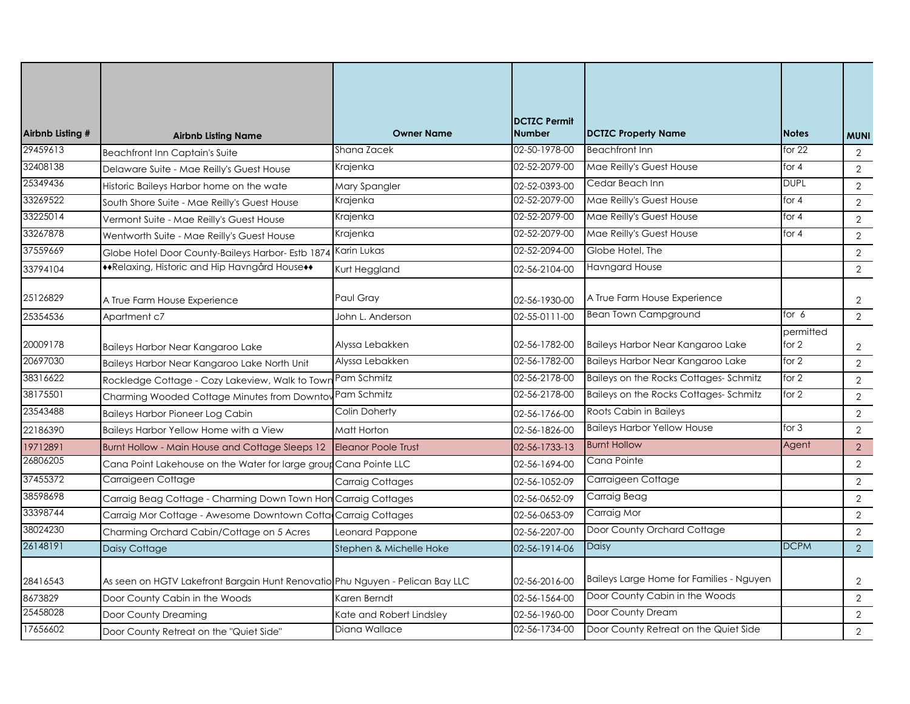| Airbnb Listing # | <b>Airbnb Listing Name</b>                                                    | <b>Owner Name</b>          | <b>DCTZC Permit</b><br><b>Number</b> | <b>DCTZC Property Name</b>               | <b>Notes</b>       | <b>MUNI</b>    |
|------------------|-------------------------------------------------------------------------------|----------------------------|--------------------------------------|------------------------------------------|--------------------|----------------|
| 29459613         | Beachfront Inn Captain's Suite                                                | Shana Zacek                | 02-50-1978-00                        | <b>Beachfront Inn</b>                    | for $22$           | 2              |
| 32408138         | Delaware Suite - Mae Reilly's Guest House                                     | Krajenka                   | 02-52-2079-00                        | Mae Reilly's Guest House                 | for $4$            | 2              |
| 25349436         | Historic Baileys Harbor home on the wate                                      | Mary Spangler              | 02-52-0393-00                        | Cedar Beach Inn                          | <b>DUPL</b>        | 2              |
| 33269522         | South Shore Suite - Mae Reilly's Guest House                                  | Krajenka                   | 02-52-2079-00                        | Mae Reilly's Guest House                 | for $4$            | $\overline{2}$ |
| 33225014         | Vermont Suite - Mae Reilly's Guest House                                      | Krajenka                   | 02-52-2079-00                        | Mae Reilly's Guest House                 | for $4$            | 2              |
| 33267878         | Wentworth Suite - Mae Reilly's Guest House                                    | Krajenka                   | 02-52-2079-00                        | Mae Reilly's Guest House                 | for 4              | 2              |
| 37559669         | Globe Hotel Door County-Baileys Harbor- Estb 1874                             | Karin Lukas                | 02-52-2094-00                        | Globe Hotel, The                         |                    | $\overline{2}$ |
| 33794104         | **Relaxing, Historic and Hip Havngård House**                                 | Kurt Heggland              | 02-56-2104-00                        | <b>Havngard House</b>                    |                    | $\overline{2}$ |
| 25126829         | A True Farm House Experience                                                  | Paul Gray                  | 02-56-1930-00                        | A True Farm House Experience             |                    | $\overline{2}$ |
| 25354536         | Apartment c7                                                                  | John L. Anderson           | 02-55-0111-00                        | Bean Town Campground                     | for $6$            | $\overline{2}$ |
| 20009178         | Baileys Harbor Near Kangaroo Lake                                             | Alyssa Lebakken            | 02-56-1782-00                        | Baileys Harbor Near Kangaroo Lake        | permitted<br>for 2 | $\overline{2}$ |
| 20697030         | Baileys Harbor Near Kangaroo Lake North Unit                                  | Alyssa Lebakken            | 02-56-1782-00                        | Baileys Harbor Near Kangaroo Lake        | for $2$            | $\overline{2}$ |
| 38316622         | Rockledge Cottage - Cozy Lakeview, Walk to Town                               | Pam Schmitz                | 02-56-2178-00                        | Baileys on the Rocks Cottages-Schmitz    | for 2              | 2              |
| 38175501         | Charming Wooded Cottage Minutes from Downto                                   | Pam Schmitz                | 02-56-2178-00                        | Baileys on the Rocks Cottages-Schmitz    | for $2$            | $\overline{2}$ |
| 23543488         | <b>Baileys Harbor Pioneer Log Cabin</b>                                       | Colin Doherty              | 02-56-1766-00                        | Roots Cabin in Baileys                   |                    | 2              |
| 22186390         | Baileys Harbor Yellow Home with a View                                        | Matt Horton                | 02-56-1826-00                        | <b>Baileys Harbor Yellow House</b>       | for $3$            | $\overline{2}$ |
| 19712891         | Burnt Hollow - Main House and Cottage Sleeps 12                               | <b>Eleanor Poole Trust</b> | 02-56-1733-13                        | <b>Burnt Hollow</b>                      | Agent              | 2              |
| 26806205         | Cana Point Lakehouse on the Water for large group                             | Cana Pointe LLC            | 02-56-1694-00                        | Cana Pointe                              |                    | $\overline{2}$ |
| 37455372         | Carraigeen Cottage                                                            | Carraig Cottages           | 02-56-1052-09                        | Carraigeen Cottage                       |                    | 2              |
| 38598698         | Carraig Beag Cottage - Charming Down Town Hon Carraig Cottages                |                            | 02-56-0652-09                        | Carraig Beag                             |                    | $\overline{2}$ |
| 33398744         | Carraig Mor Cottage - Awesome Downtown Cotta Carraig Cottages                 |                            | 02-56-0653-09                        | Carraig Mor                              |                    | 2              |
| 38024230         | Charming Orchard Cabin/Cottage on 5 Acres                                     | Leonard Pappone            | 02-56-2207-00                        | Door County Orchard Cottage              |                    | $\overline{2}$ |
| 26148191         | Daisy Cottage                                                                 | Stephen & Michelle Hoke    | 02-56-1914-06                        | Daisy                                    | <b>DCPM</b>        | 2              |
| 28416543         | As seen on HGTV Lakefront Bargain Hunt Renovatio Phu Nguyen - Pelican Bay LLC |                            | 02-56-2016-00                        | Baileys Large Home for Families - Nguyen |                    | $\overline{2}$ |
| 8673829          | Door County Cabin in the Woods                                                | Karen Berndt               | 02-56-1564-00                        | Door County Cabin in the Woods           |                    | 2              |
| 25458028         | Door County Dreaming                                                          | Kate and Robert Lindsley   | 02-56-1960-00                        | Door County Dream                        |                    | $\overline{2}$ |
| 17656602         | Door County Retreat on the "Quiet Side"                                       | Diana Wallace              | 02-56-1734-00                        | Door County Retreat on the Quiet Side    |                    | 2              |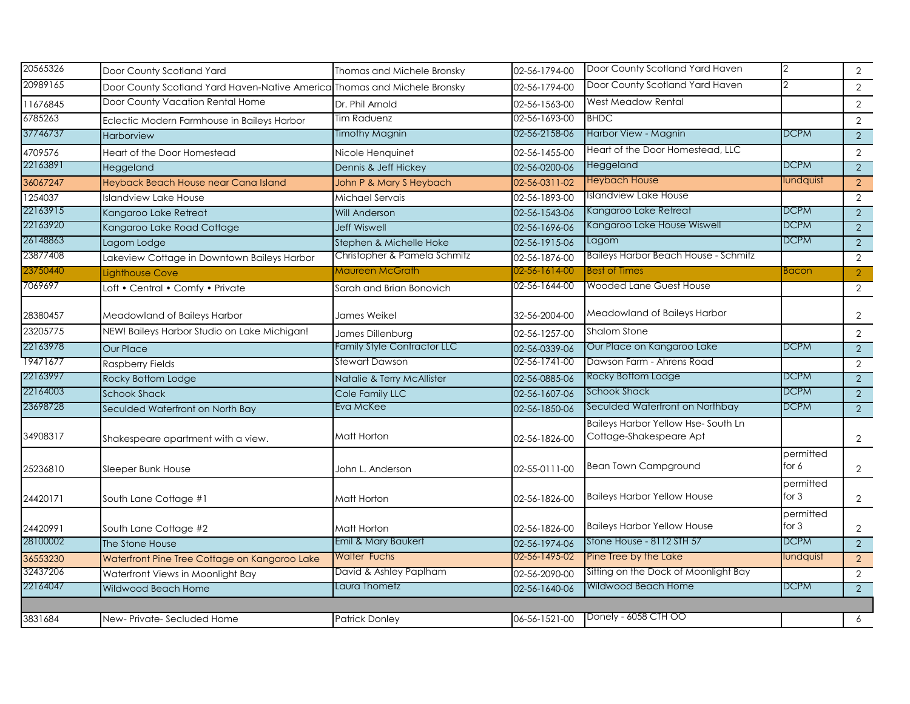| 20565326 | Door County Scotland Yard                                                 | Thomas and Michele Bronsky   | 02-56-1794-00 | Door County Scotland Yard Haven                                      | 2                    | 2              |
|----------|---------------------------------------------------------------------------|------------------------------|---------------|----------------------------------------------------------------------|----------------------|----------------|
| 20989165 | Door County Scotland Yard Haven-Native America Thomas and Michele Bronsky |                              | 02-56-1794-00 | Door County Scotland Yard Haven                                      | $\mathcal{P}$        | $\overline{2}$ |
| 11676845 | Door County Vacation Rental Home                                          | Dr. Phil Arnold              | 02-56-1563-00 | <b>West Meadow Rental</b>                                            |                      | $\overline{2}$ |
| 6785263  | Eclectic Modern Farmhouse in Baileys Harbor                               | <b>Tim Raduenz</b>           | 02-56-1693-00 | <b>BHDC</b>                                                          |                      | $\overline{2}$ |
| 37746737 | <b>Harborview</b>                                                         | Timothy Magnin               | 02-56-2158-06 | Harbor View - Magnin                                                 | <b>DCPM</b>          | $\overline{2}$ |
| 4709576  | Heart of the Door Homestead                                               | Nicole Henquinet             | 02-56-1455-00 | Heart of the Door Homestead, LLC                                     |                      | $\overline{2}$ |
| 22163891 | Heggeland                                                                 | Dennis & Jeff Hickey         | 02-56-0200-06 | Heggeland                                                            | DCPM                 | $\overline{2}$ |
| 36067247 | Heyback Beach House near Cana Island                                      | John P & Mary S Heybach      | 02-56-0311-02 | <b>Heybach House</b>                                                 | lundquist            | 2              |
| 1254037  | Islandview Lake House                                                     | Michael Servais              | 02-56-1893-00 | Islandview Lake House                                                |                      | 2              |
| 22163915 | Kangaroo Lake Retreat                                                     | <b>Will Anderson</b>         | 02-56-1543-06 | Kangaroo Lake Retreat                                                | DCPM                 | 2              |
| 22163920 | Kangaroo Lake Road Cottage                                                | <b>Jeff Wiswell</b>          | 02-56-1696-06 | Kangaroo Lake House Wiswell                                          | <b>DCPM</b>          | $\overline{2}$ |
| 26148863 | Lagom Lodge                                                               | Stephen & Michelle Hoke      | 02-56-1915-06 | Lagom                                                                | <b>DCPM</b>          | 2              |
| 23877408 | Lakeview Cottage in Downtown Baileys Harbor                               | Christopher & Pamela Schmitz | 02-56-1876-00 | <b>Baileys Harbor Beach House - Schmitz</b>                          |                      | $\overline{2}$ |
| 23750440 | Lighthouse Cove                                                           | Maureen McGrath              | 02-56-1614-00 | Best of Times                                                        | Bacon                | $\overline{2}$ |
| 7069697  | Loft • Central • Comfy • Private                                          | Sarah and Brian Bonovich     | 02-56-1644-00 | <b>Wooded Lane Guest House</b>                                       |                      | $\overline{2}$ |
| 28380457 | Meadowland of Baileys Harbor                                              | James Weikel                 | 32-56-2004-00 | Meadowland of Baileys Harbor                                         |                      | $\overline{2}$ |
| 23205775 | NEW! Baileys Harbor Studio on Lake Michigan!                              | James Dillenburg             | 02-56-1257-00 | <b>Shalom Stone</b>                                                  |                      | $\overline{2}$ |
| 22163978 | <b>Our Place</b>                                                          | Family Style Contractor LLC  | 02-56-0339-06 | Our Place on Kangaroo Lake                                           | <b>DCPM</b>          | 2              |
| 19471677 | <b>Raspberry Fields</b>                                                   | Stewart Dawson               | 02-56-1741-00 | Dawson Farm - Ahrens Road                                            |                      | $\overline{2}$ |
| 22163997 | Rocky Bottom Lodge                                                        | Natalie & Terry McAllister   | 02-56-0885-06 | Rocky Bottom Lodge                                                   | <b>DCPM</b>          | $\overline{2}$ |
| 22164003 | <b>Schook Shack</b>                                                       | Cole Family LLC              | 02-56-1607-06 | Schook Shack                                                         | <b>DCPM</b>          | $\overline{2}$ |
| 23698728 | Seculded Waterfront on North Bay                                          | Eva McKee                    | 02-56-1850-06 | Seculded Waterfront on Northbay                                      | <b>DCPM</b>          | $\overline{2}$ |
| 34908317 | Shakespeare apartment with a view.                                        | Matt Horton                  | 02-56-1826-00 | <b>Baileys Harbor Yellow Hse-South Ln</b><br>Cottage-Shakespeare Apt |                      | $\overline{2}$ |
| 25236810 | Sleeper Bunk House                                                        | John L. Anderson             | 02-55-0111-00 | <b>Bean Town Campground</b>                                          | permitted<br>for $6$ | $\overline{2}$ |
| 24420171 | South Lane Cottage #1                                                     | Matt Horton                  | 02-56-1826-00 | <b>Baileys Harbor Yellow House</b>                                   | permitted<br>for $3$ | $\overline{2}$ |
| 24420991 | South Lane Cottage #2                                                     | Matt Horton                  | 02-56-1826-00 | <b>Baileys Harbor Yellow House</b>                                   | permitted<br>for $3$ | 2              |
| 28100002 | The Stone House                                                           | Emil & Mary Baukert          | 02-56-1974-06 | Stone House - 8112 STH 57                                            | <b>DCPM</b>          | $\overline{2}$ |
| 36553230 | Waterfront Pine Tree Cottage on Kangaroo Lake                             | <b>Walter Fuchs</b>          | 02-56-1495-02 | Pine Tree by the Lake                                                | lundquist            | 2              |
| 32437206 | Waterfront Views in Moonlight Bay                                         | David & Ashley Paplham       | 02-56-2090-00 | Sitting on the Dock of Moonlight Bay                                 |                      | 2              |
| 22164047 | Wildwood Beach Home                                                       | Laura Thometz                | 02-56-1640-06 | Wildwood Beach Home                                                  | <b>DCPM</b>          | $\overline{2}$ |
|          |                                                                           |                              |               |                                                                      |                      |                |
| 3831684  | New-Private-Secluded Home                                                 | <b>Patrick Donley</b>        | 06-56-1521-00 | Donely - 6058 CTH OO                                                 |                      | 6              |
|          |                                                                           |                              |               |                                                                      |                      |                |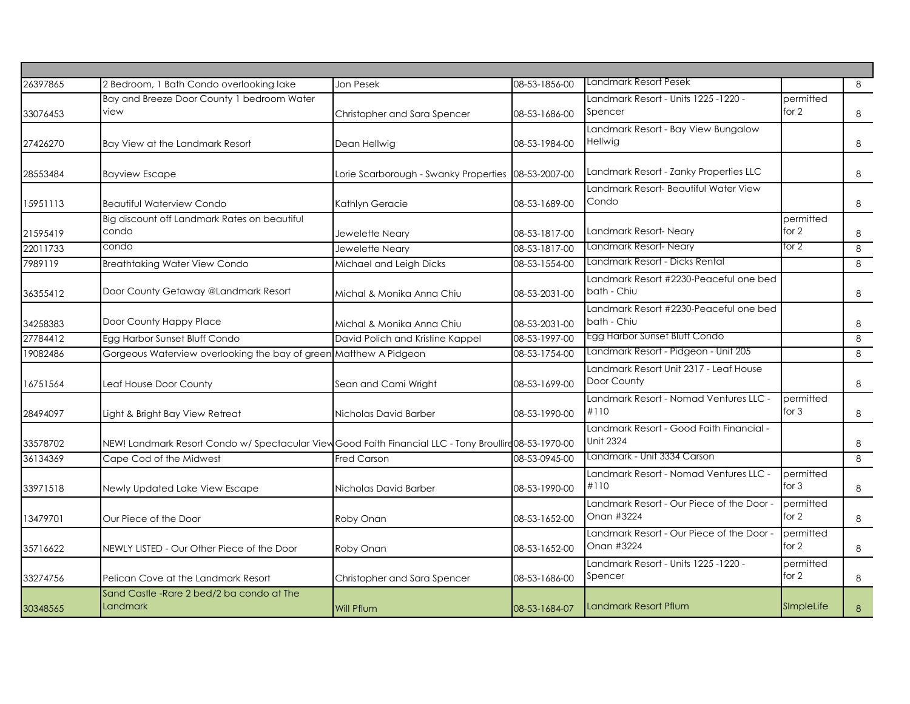| 26397865 | 2 Bedroom, 1 Bath Condo overlooking lake                                                               | <b>Jon Pesek</b>                      | 08-53-1856-00 | Landmark Resort Pesek                                        |                      | 8        |
|----------|--------------------------------------------------------------------------------------------------------|---------------------------------------|---------------|--------------------------------------------------------------|----------------------|----------|
| 33076453 | Bay and Breeze Door County 1 bedroom Water<br>view                                                     | Christopher and Sara Spencer          | 08-53-1686-00 | Landmark Resort - Units 1225 -1220 -<br>Spencer              | permitted<br>for 2   | 8        |
| 27426270 | Bay View at the Landmark Resort                                                                        | Dean Hellwig                          | 08-53-1984-00 | Landmark Resort - Bay View Bungalow<br>Hellwig               |                      | 8        |
| 28553484 | <b>Bayview Escape</b>                                                                                  | Lorie Scarborough - Swanky Properties | 08-53-2007-00 | Landmark Resort - Zanky Properties LLC                       |                      | 8        |
| 15951113 | <b>Beautiful Waterview Condo</b>                                                                       | Kathlyn Geracie                       | 08-53-1689-00 | Landmark Resort- Beautiful Water View<br>Condo               |                      | 8        |
| 21595419 | Big discount off Landmark Rates on beautiful<br>condo                                                  | Jewelette Neary                       | 08-53-1817-00 | Landmark Resort-Neary                                        | permitted<br>for 2   | 8        |
| 22011733 | condo                                                                                                  | Jewelette Neary                       | 08-53-1817-00 | Landmark Resort-Neary                                        | for 2                | $\infty$ |
| 7989119  | <b>Breathtaking Water View Condo</b>                                                                   | Michael and Leigh Dicks               | 08-53-1554-00 | Landmark Resort - Dicks Rental                               |                      | 8        |
| 36355412 | Door County Getaway @Landmark Resort                                                                   | Michal & Monika Anna Chiu             | 08-53-2031-00 | Landmark Resort #2230-Peaceful one bed<br>bath - Chiu        |                      | 8        |
| 34258383 | Door County Happy Place                                                                                | Michal & Monika Anna Chiu             | 08-53-2031-00 | Landmark Resort #2230-Peaceful one bed<br>bath - Chiu        |                      | 8        |
| 27784412 | Egg Harbor Sunset Bluff Condo                                                                          | David Polich and Kristine Kappel      | 08-53-1997-00 | Egg Harbor Sunset Bluff Condo                                |                      | 8        |
| 19082486 | Gorgeous Waterview overlooking the bay of green Matthew A Pidgeon                                      |                                       | 08-53-1754-00 | Landmark Resort - Pidgeon - Unit 205                         |                      | 8        |
| 16751564 | Leaf House Door County                                                                                 | Sean and Cami Wright                  | 08-53-1699-00 | Landmark Resort Unit 2317 - Leaf House<br>Door County        |                      | 8        |
| 28494097 | Light & Bright Bay View Retreat                                                                        | Nicholas David Barber                 | 08-53-1990-00 | Landmark Resort - Nomad Ventures LLC -<br>#110               | permitted<br>for $3$ | 8        |
| 33578702 | NEW! Landmark Resort Condo w/ Spectacular View Good Faith Financial LLC - Tony Broullire 08-53-1970-00 |                                       |               | Landmark Resort - Good Faith Financial -<br><b>Unit 2324</b> |                      | 8        |
| 36134369 | Cape Cod of the Midwest                                                                                | Fred Carson                           | 08-53-0945-00 | Landmark - Unit 3334 Carson                                  |                      | 8        |
| 33971518 | Newly Updated Lake View Escape                                                                         | Nicholas David Barber                 | 08-53-1990-00 | Landmark Resort - Nomad Ventures LLC -<br>#110               | permitted<br>for $3$ | 8        |
| 13479701 | Our Piece of the Door                                                                                  | Roby Onan                             | 08-53-1652-00 | Landmark Resort - Our Piece of the Door -<br>Onan #3224      | permitted<br>for 2   | 8        |
| 35716622 | NEWLY LISTED - Our Other Piece of the Door                                                             | Roby Onan                             | 08-53-1652-00 | Landmark Resort - Our Piece of the Door -<br>Onan #3224      | permitted<br>for 2   | 8        |
| 33274756 | Pelican Cove at the Landmark Resort                                                                    | Christopher and Sara Spencer          | 08-53-1686-00 | Landmark Resort - Units 1225 -1220 -<br>Spencer              | permitted<br>for 2   | 8        |
| 30348565 | Sand Castle - Rare 2 bed/2 ba condo at The<br>Landmark                                                 | <b>Will Pflum</b>                     | 08-53-1684-07 | Landmark Resort Pflum                                        | SImpleLife           | 8        |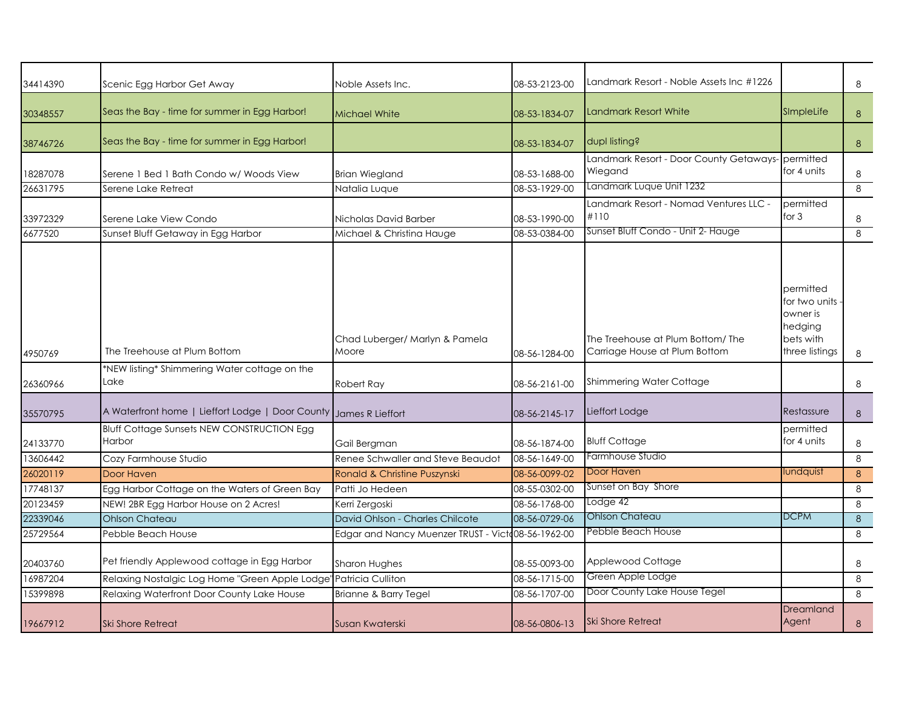|          |                                                                   |                                                    |               | Landmark Resort - Noble Assets Inc #1226                          |                                                                                  |   |
|----------|-------------------------------------------------------------------|----------------------------------------------------|---------------|-------------------------------------------------------------------|----------------------------------------------------------------------------------|---|
| 34414390 | Scenic Egg Harbor Get Away                                        | Noble Assets Inc.                                  | 08-53-2123-00 |                                                                   |                                                                                  | 8 |
| 30348557 | Seas the Bay - time for summer in Egg Harbor!                     | <b>Michael White</b>                               | 08-53-1834-07 | Landmark Resort White                                             | SImpleLife                                                                       | 8 |
| 38746726 | Seas the Bay - time for summer in Egg Harbor!                     |                                                    | 08-53-1834-07 | dupl listing?                                                     |                                                                                  | 8 |
| 18287078 | Serene 1 Bed 1 Bath Condo w/ Woods View                           | <b>Brian Wiegland</b>                              | 08-53-1688-00 | Landmark Resort - Door County Getaways-<br>Wiegand                | <b>permitted</b><br>for 4 units                                                  | 8 |
| 26631795 | Serene Lake Retreat                                               | Natalia Luque                                      | 08-53-1929-00 | Landmark Luque Unit 1232                                          |                                                                                  | 8 |
| 33972329 | Serene Lake View Condo                                            | Nicholas David Barber                              | 08-53-1990-00 | Landmark Resort - Nomad Ventures LLC -<br>#110                    | permitted<br>for $3$                                                             | 8 |
| 6677520  | Sunset Bluff Getaway in Egg Harbor                                | Michael & Christina Hauge                          | 08-53-0384-00 | Sunset Bluff Condo - Unit 2- Hauge                                |                                                                                  | 8 |
| 4950769  | The Treehouse at Plum Bottom                                      | Chad Luberger/ Marlyn & Pamela<br>Moore            | 08-56-1284-00 | The Treehouse at Plum Bottom/The<br>Carriage House at Plum Bottom | permitted<br>for two units<br>owner is<br>hedging<br>bets with<br>three listings | 8 |
|          | *NEW listing* Shimmering Water cottage on the                     |                                                    |               |                                                                   |                                                                                  |   |
| 26360966 | Lake                                                              | Robert Ray                                         | 08-56-2161-00 | Shimmering Water Cottage                                          |                                                                                  | 8 |
| 35570795 | A Waterfront home   Lieffort Lodge   Door County James R Lieffort |                                                    | 08-56-2145-17 | Lieffort Lodge                                                    | Restassure                                                                       | 8 |
| 24133770 | <b>Bluff Cottage Sunsets NEW CONSTRUCTION Egg</b><br>Harbor       | Gail Bergman                                       | 08-56-1874-00 | <b>Bluff Cottage</b>                                              | permitted<br>for 4 units                                                         | 8 |
| 13606442 | Cozy Farmhouse Studio                                             | Renee Schwaller and Steve Beaudot                  | 08-56-1649-00 | Farmhouse Studio                                                  |                                                                                  | 8 |
| 26020119 | Door Haven                                                        | Ronald & Christine Puszynski                       | 08-56-0099-02 | Door Haven                                                        | lundquist                                                                        | 8 |
| 17748137 | Egg Harbor Cottage on the Waters of Green Bay                     | Patti Jo Hedeen                                    | 08-55-0302-00 | Sunset on Bay Shore                                               |                                                                                  | 8 |
| 20123459 | NEW! 2BR Egg Harbor House on 2 Acres!                             | Kerri Zergoski                                     | 08-56-1768-00 | Lodge 42                                                          |                                                                                  | 8 |
| 22339046 | <b>Ohlson Chateau</b>                                             | David Ohlson - Charles Chilcote                    | 08-56-0729-06 | <b>Ohlson Chateau</b>                                             | <b>DCPM</b>                                                                      | 8 |
| 25729564 | Pebble Beach House                                                | Edgar and Nancy Muenzer TRUST - Victo08-56-1962-00 |               | Pebble Beach House                                                |                                                                                  | 8 |
| 20403760 | Pet friendly Applewood cottage in Egg Harbor                      | Sharon Hughes                                      | 08-55-0093-00 | Applewood Cottage                                                 |                                                                                  | 8 |
| 16987204 | Relaxing Nostalgic Log Home "Green Apple Lodge" Patricia Culliton |                                                    | 08-56-1715-00 | Green Apple Lodge                                                 |                                                                                  | 8 |
| 15399898 | Relaxing Waterfront Door County Lake House                        | Brianne & Barry Tegel                              | 08-56-1707-00 | Door County Lake House Tegel                                      |                                                                                  | 8 |
| 19667912 | <b>Ski Shore Retreat</b>                                          | Susan Kwaterski                                    | 08-56-0806-13 | <b>Ski Shore Retreat</b>                                          | Dreamland<br>Agent                                                               | 8 |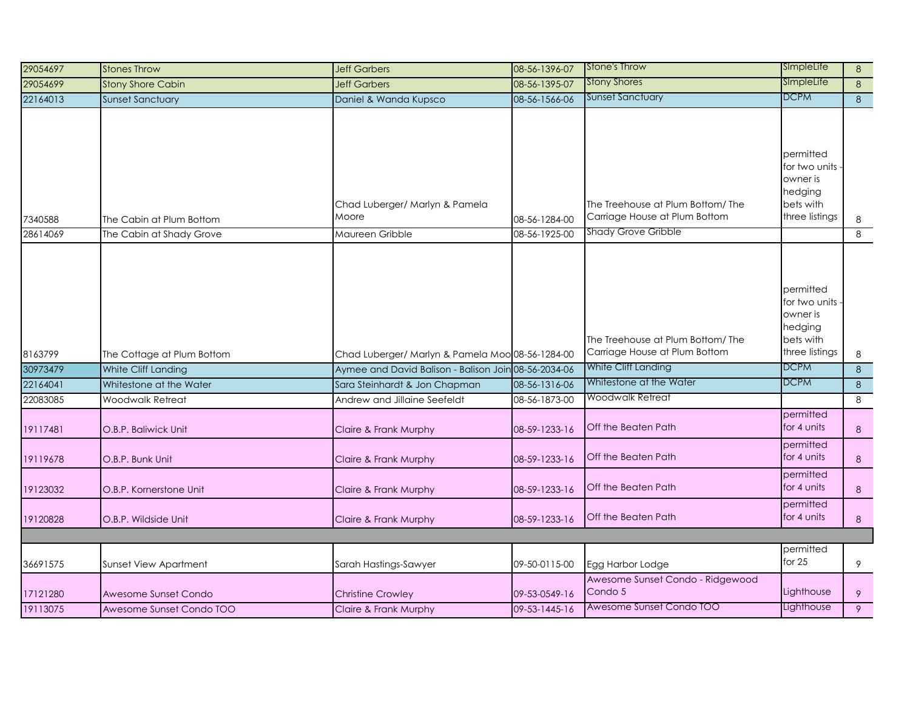| 29054697             | <b>Stones Throw</b>                      | <b>Jeff Garbers</b>                                  | 08-56-1396-07                  | <b>Stone's Throw</b>                                               | SImpleLife                                                                       | 8                   |
|----------------------|------------------------------------------|------------------------------------------------------|--------------------------------|--------------------------------------------------------------------|----------------------------------------------------------------------------------|---------------------|
| 29054699             | <b>Stony Shore Cabin</b>                 | <b>Jeff Garbers</b>                                  | 08-56-1395-07                  | <b>Stony Shores</b>                                                | SImpleLife                                                                       | 8 <sup>°</sup>      |
| 22164013             | <b>Sunset Sanctuary</b>                  | Daniel & Wanda Kupsco                                | 08-56-1566-06                  | <b>Sunset Sanctuary</b>                                            | DCPM                                                                             | 8 <sup>°</sup>      |
| 7340588              | The Cabin at Plum Bottom                 | Chad Luberger/ Marlyn & Pamela<br>Moore              | 08-56-1284-00                  | The Treehouse at Plum Bottom/ The<br>Carriage House at Plum Bottom | permitted<br>for two units<br>owner is<br>hedging<br>bets with<br>three listings | 8                   |
| 28614069             | The Cabin at Shady Grove                 | Maureen Gribble                                      | 08-56-1925-00                  | <b>Shady Grove Gribble</b>                                         |                                                                                  | 8                   |
| 8163799              | The Cottage at Plum Bottom               | Chad Luberger/ Marlyn & Pamela Moo 08-56-1284-00     |                                | The Treehouse at Plum Bottom/The<br>Carriage House at Plum Bottom  | permitted<br>for two units<br>owner is<br>hedging<br>bets with<br>three listings | 8                   |
| 30973479             | White Cliff Landing                      | Aymee and David Balison - Balison Join 08-56-2034-06 |                                | White Cliff Landing                                                | <b>DCPM</b>                                                                      | $\overline{\infty}$ |
| 22164041             | Whitestone at the Water                  | Sara Steinhardt & Jon Chapman                        | 08-56-1316-06                  | Whitestone at the Water                                            | <b>DCPM</b>                                                                      | 8                   |
| 22083085             | Woodwalk Retreat                         | Andrew and Jillaine Seefeldt                         | 08-56-1873-00                  | Woodwalk Retreat                                                   |                                                                                  | 8                   |
| 19117481<br>19119678 | O.B.P. Baliwick Unit<br>O.B.P. Bunk Unit | Claire & Frank Murphy<br>Claire & Frank Murphy       | 08-59-1233-16<br>08-59-1233-16 | Off the Beaten Path<br>Off the Beaten Path                         | permitted<br>for 4 units<br>permitted<br>for 4 units                             | $\,8\,$<br>8        |
| 19123032             | O.B.P. Kornerstone Unit                  | Claire & Frank Murphy                                | 08-59-1233-16                  | Off the Beaten Path                                                | permitted<br>for 4 units                                                         | 8                   |
| 19120828             | O.B.P. Wildside Unit                     | Claire & Frank Murphy                                | 08-59-1233-16                  | Off the Beaten Path                                                | permitted<br>for 4 units                                                         | 8                   |
|                      |                                          |                                                      |                                |                                                                    |                                                                                  |                     |
| 36691575             | Sunset View Apartment                    | Sarah Hastings-Sawyer                                | 09-50-0115-00                  | Egg Harbor Lodge                                                   | permitted<br>for $25$                                                            | 9                   |
| 17121280             | Awesome Sunset Condo                     | <b>Christine Crowley</b>                             | 09-53-0549-16                  | Awesome Sunset Condo - Ridgewood<br>Condo 5                        | .ighthouse                                                                       | 9                   |
| 19113075             | Awesome Sunset Condo TOO                 | Claire & Frank Murphy                                | 09-53-1445-16                  | Awesome Sunset Condo TOO                                           | Lighthouse                                                                       | 9                   |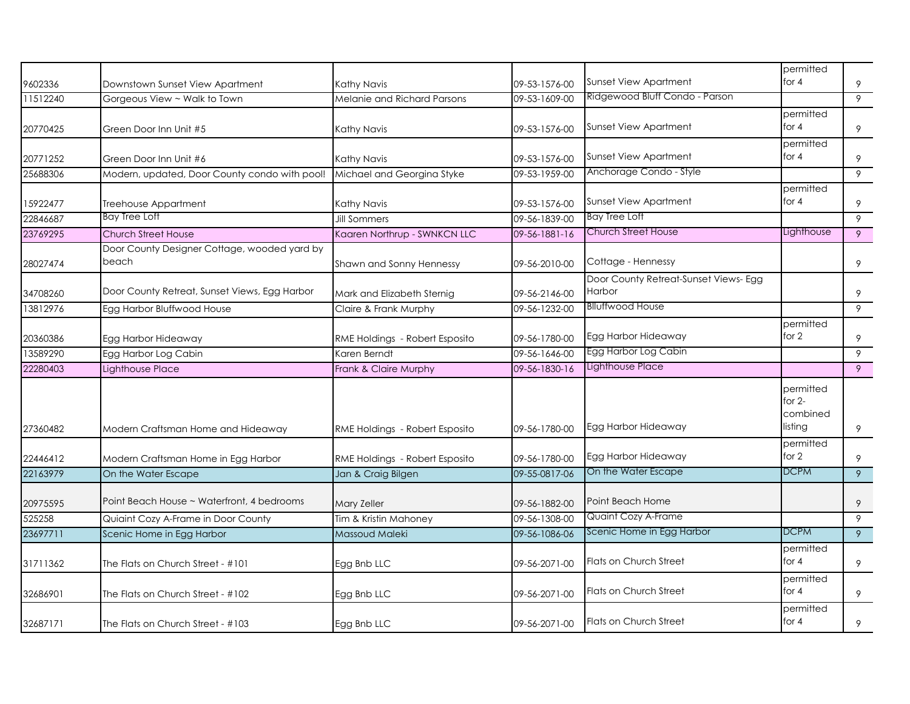| 9602336  |                                                                 |                                            |                                | <b>Sunset View Apartment</b>          | permitted<br>for $4$                         | 9 |
|----------|-----------------------------------------------------------------|--------------------------------------------|--------------------------------|---------------------------------------|----------------------------------------------|---|
| 11512240 | Downstown Sunset View Apartment<br>Gorgeous View ~ Walk to Town | Kathy Navis<br>Melanie and Richard Parsons | 09-53-1576-00<br>09-53-1609-00 | Ridgewood Bluff Condo - Parson        |                                              | 9 |
|          |                                                                 |                                            |                                |                                       | permitted                                    |   |
| 20770425 | Green Door Inn Unit #5                                          | Kathy Navis                                | 09-53-1576-00                  | <b>Sunset View Apartment</b>          | for $4$                                      | 9 |
|          |                                                                 |                                            |                                |                                       | permitted                                    |   |
| 20771252 | Green Door Inn Unit #6                                          | Kathy Navis                                | 09-53-1576-00                  | Sunset View Apartment                 | for $4$                                      | 9 |
| 25688306 | Modern, updated, Door County condo with pool!                   | Michael and Georgina Styke                 | 09-53-1959-00                  | Anchorage Condo - Style               |                                              | 9 |
|          |                                                                 |                                            |                                |                                       | permitted                                    |   |
| 15922477 | Treehouse Appartment                                            | Kathy Navis                                | 09-53-1576-00                  | <b>Sunset View Apartment</b>          | for $4$                                      | 9 |
| 22846687 | Bay Tree Loft                                                   | <b>Jill Sommers</b>                        | 09-56-1839-00                  | <b>Bay Tree Loft</b>                  |                                              | 9 |
| 23769295 | Church Street House                                             | Kaaren Northrup - SWNKCN LLC               | 09-56-1881-16                  | Church Street House                   | Lighthouse                                   | 9 |
|          | Door County Designer Cottage, wooded yard by                    |                                            |                                |                                       |                                              |   |
| 28027474 | beach                                                           | Shawn and Sonny Hennessy                   | 09-56-2010-00                  | Cottage - Hennessy                    |                                              | 9 |
|          |                                                                 |                                            |                                | Door County Retreat-Sunset Views- Egg |                                              |   |
| 34708260 | Door County Retreat, Sunset Views, Egg Harbor                   | Mark and Elizabeth Sternig                 | 09-56-2146-00                  | Harbor                                |                                              | 9 |
| 13812976 | Egg Harbor Bluffwood House                                      | Claire & Frank Murphy                      | 09-56-1232-00                  | <b>Blluffwood House</b>               |                                              | 9 |
|          |                                                                 |                                            |                                |                                       | permitted                                    |   |
| 20360386 | Egg Harbor Hideaway                                             | RME Holdings - Robert Esposito             | 09-56-1780-00                  | Egg Harbor Hideaway                   | for 2                                        | 9 |
| 13589290 | Egg Harbor Log Cabin                                            | Karen Berndt                               | 09-56-1646-00                  | Egg Harbor Log Cabin                  |                                              | 9 |
| 22280403 | Lighthouse Place                                                | Frank & Claire Murphy                      | 09-56-1830-16                  | Lighthouse Place                      |                                              | 9 |
| 27360482 | Modern Craftsman Home and Hideaway                              | RME Holdings - Robert Esposito             | 09-56-1780-00                  | Egg Harbor Hideaway                   | permitted<br>for $2-$<br>combined<br>listing | 9 |
| 22446412 | Modern Craftsman Home in Egg Harbor                             | RME Holdings - Robert Esposito             | 09-56-1780-00                  | Egg Harbor Hideaway                   | permitted<br>for 2                           | 9 |
| 22163979 | On the Water Escape                                             | Jan & Craig Bilgen                         | 09-55-0817-06                  | On the Water Escape                   | <b>DCPM</b>                                  | 9 |
|          |                                                                 |                                            |                                |                                       |                                              |   |
| 20975595 | Point Beach House ~ Waterfront, 4 bedrooms                      | Mary Zeller                                | 09-56-1882-00                  | Point Beach Home                      |                                              | 9 |
| 525258   | Quiaint Cozy A-Frame in Door County                             | Tim & Kristin Mahoney                      | 09-56-1308-00                  | <b>Quaint Cozy A-Frame</b>            |                                              | 9 |
| 23697711 | Scenic Home in Egg Harbor                                       | Massoud Maleki                             | 09-56-1086-06                  | Scenic Home in Egg Harbor             | <b>DCPM</b>                                  | 9 |
|          |                                                                 |                                            |                                |                                       | permitted                                    |   |
| 31711362 | The Flats on Church Street - #101                               | Egg Bnb LLC                                | 09-56-2071-00                  | Flats on Church Street                | for $4$                                      | 9 |
|          |                                                                 |                                            |                                |                                       | permitted                                    |   |
| 32686901 | The Flats on Church Street - #102                               | Egg Bnb LLC                                | 09-56-2071-00                  | Flats on Church Street                | for $4$                                      | 9 |
|          |                                                                 |                                            |                                |                                       | permitted                                    |   |
| 32687171 | The Flats on Church Street - #103                               | Egg Bnb LLC                                | 09-56-2071-00                  | <b>Flats on Church Street</b>         | for $4$                                      | 9 |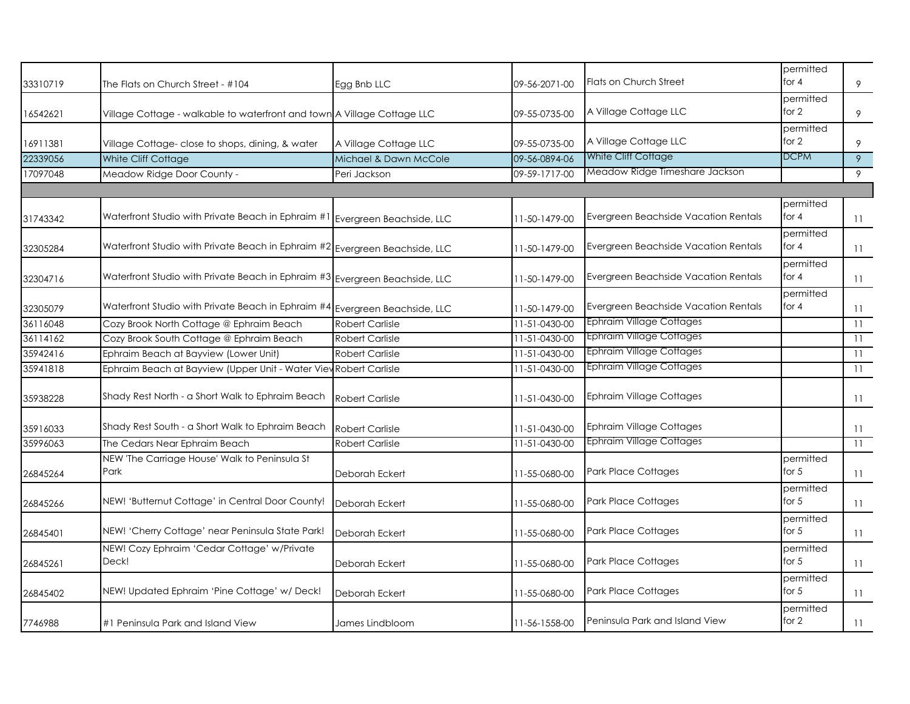| 33310719 | The Flats on Church Street - #104                                           | Egg Bnb LLC              | 09-56-2071-00 | <b>Flats on Church Street</b>        | permitted<br>for $4$ | 9              |
|----------|-----------------------------------------------------------------------------|--------------------------|---------------|--------------------------------------|----------------------|----------------|
| 16542621 | Village Cottage - walkable to waterfront and town A Village Cottage LLC     |                          | 09-55-0735-00 | A Village Cottage LLC                | permitted<br>for 2   | 9              |
| 16911381 | Village Cottage-close to shops, dining, & water                             | A Village Cottage LLC    | 09-55-0735-00 | A Village Cottage LLC                | permitted<br>for $2$ | 9              |
| 22339056 | White Cliff Cottage                                                         | Michael & Dawn McCole    | 09-56-0894-06 | White Cliff Cottage                  | <b>DCPM</b>          | $\overline{9}$ |
| 17097048 | Meadow Ridge Door County -                                                  | Peri Jackson             | 09-59-1717-00 | Meadow Ridge Timeshare Jackson       |                      | 9              |
|          |                                                                             |                          |               |                                      |                      |                |
| 31743342 | Waterfront Studio with Private Beach in Ephraim #1                          | Evergreen Beachside, LLC | 11-50-1479-00 | Evergreen Beachside Vacation Rentals | permitted<br>for $4$ | 11             |
| 32305284 | Waterfront Studio with Private Beach in Ephraim #2 Evergreen Beachside, LLC |                          | 11-50-1479-00 | Evergreen Beachside Vacation Rentals | permitted<br>for $4$ | 11             |
| 32304716 | Waterfront Studio with Private Beach in Ephraim #3 Evergreen Beachside, LLC |                          | 11-50-1479-00 | Evergreen Beachside Vacation Rentals | permitted<br>for $4$ | 11             |
| 32305079 | Waterfront Studio with Private Beach in Ephraim #4 Evergreen Beachside, LLC |                          | 11-50-1479-00 | Evergreen Beachside Vacation Rentals | permitted<br>for 4   | 11             |
| 36116048 | Cozy Brook North Cottage @ Ephraim Beach                                    | <b>Robert Carlisle</b>   | 11-51-0430-00 | <b>Ephraim Village Cottages</b>      |                      | 11             |
| 36114162 | Cozy Brook South Cottage @ Ephraim Beach                                    | <b>Robert Carlisle</b>   | 11-51-0430-00 | Ephraim Village Cottages             |                      | 11             |
| 35942416 | Ephraim Beach at Bayview (Lower Unit)                                       | <b>Robert Carlisle</b>   | 11-51-0430-00 | <b>Ephraim Village Cottages</b>      |                      | 11             |
| 35941818 | Ephraim Beach at Bayview (Upper Unit - Water View Robert Carlisle           |                          | 11-51-0430-00 | <b>Ephraim Village Cottages</b>      |                      | 11             |
| 35938228 | Shady Rest North - a Short Walk to Ephraim Beach                            | <b>Robert Carlisle</b>   | 11-51-0430-00 | Ephraim Village Cottages             |                      | 11             |
| 35916033 | Shady Rest South - a Short Walk to Ephraim Beach                            | <b>Robert Carlisle</b>   | 11-51-0430-00 | <b>Ephraim Village Cottages</b>      |                      | 11             |
| 35996063 | The Cedars Near Ephraim Beach                                               | <b>Robert Carlisle</b>   | 11-51-0430-00 | Ephraim Village Cottages             |                      | 11             |
| 26845264 | NEW 'The Carriage House' Walk to Peninsula St<br>Park                       | Deborah Eckert           | 11-55-0680-00 | Park Place Cottages                  | permitted<br>for $5$ | 11             |
| 26845266 | NEW! 'Butternut Cottage' in Central Door County!                            | Deborah Eckert           | 11-55-0680-00 | Park Place Cottages                  | permitted<br>for $5$ | 11             |
| 26845401 | NEW! 'Cherry Cottage' near Peninsula State Park!                            | Deborah Eckert           | 11-55-0680-00 | Park Place Cottages                  | permitted<br>for $5$ | 11             |
| 26845261 | NEW! Cozy Ephraim 'Cedar Cottage' w/Private<br>Deck!                        | Deborah Eckert           | 11-55-0680-00 | <b>Park Place Cottages</b>           | permitted<br>for $5$ | 11             |
| 26845402 | NEW! Updated Ephraim 'Pine Cottage' w/ Deck!                                | Deborah Eckert           | 11-55-0680-00 | Park Place Cottages                  | permitted<br>for $5$ | 11             |
| 7746988  | #1 Peninsula Park and Island View                                           | James Lindbloom          | 11-56-1558-00 | Peninsula Park and Island View       | permitted<br>for 2   | 11             |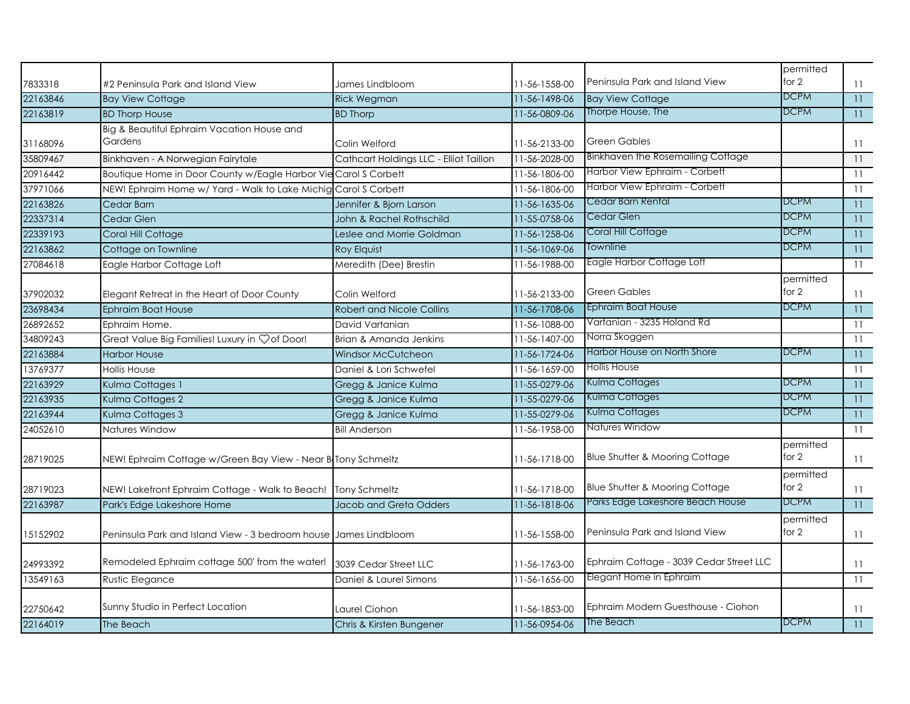| 7833318  | #2 Peninsula Park and Island View                                | James Lindbloom                        | 11-56-1558-00 | Peninsula Park and Island View            | permitted<br>for 2   | 11              |
|----------|------------------------------------------------------------------|----------------------------------------|---------------|-------------------------------------------|----------------------|-----------------|
| 22163846 | <b>Bay View Cottage</b>                                          | <b>Rick Wegman</b>                     | 11-56-1498-06 | <b>Bay View Cottage</b>                   | <b>DCPM</b>          | $11 -$          |
| 22163819 | <b>BD Thorp House</b>                                            | <b>BD Thorp</b>                        | 11-56-0809-06 | Thorpe House, The                         | <b>DCPM</b>          | $11 -$          |
| 31168096 | Big & Beautiful Ephraim Vacation House and<br>Gardens            | Colin Welford                          | 11-56-2133-00 | <b>Green Gables</b>                       |                      | 11              |
| 35809467 | Binkhaven - A Norwegian Fairytale                                | Cathcart Holdings LLC - Elliot Taillon | 11-56-2028-00 | Binkhaven the Rosemailing Cottage         |                      | 11              |
| 20916442 | Boutique Home in Door County w/Eagle Harbor Vie Carol S Corbett  |                                        | 11-56-1806-00 | Harbor View Ephraim - Corbett             |                      | 11              |
| 37971066 | NEW! Ephraim Home w/ Yard - Walk to Lake Michig Carol S Corbett  |                                        | 11-56-1806-00 | Harbor View Ephraim - Corbett             |                      | 11              |
| 22163826 | Cedar Barn                                                       | Jennifer & Bjorn Larson                | 11-56-1635-06 | Cedar Barn Rental                         | <b>DCPM</b>          | 11              |
| 22337314 | Cedar Glen                                                       | John & Rachel Rothschild               | 11-55-0758-06 | Cedar Glen                                | DCPM                 | 11              |
| 22339193 | Coral Hill Cottage                                               | Leslee and Morrie Goldman              | 11-56-1258-06 | Coral Hill Cottage                        | <b>DCPM</b>          | 11              |
| 22163862 | Cottage on Townline                                              | Roy Elquist                            | 11-56-1069-06 | Townline                                  | <b>DCPM</b>          | 11              |
| 27084618 | Eagle Harbor Cottage Loft                                        | Meredith (Dee) Brestin                 | 11-56-1988-00 | Eagle Harbor Cottage Loft                 |                      | 11              |
| 37902032 | Elegant Retreat in the Heart of Door County                      | Colin Welford                          | 11-56-2133-00 | <b>Green Gables</b>                       | permitted<br>for $2$ | 11              |
| 23698434 | Ephraim Boat House                                               | <b>Robert and Nicole Collins</b>       | 11-56-1708-06 | Ephraim Boat House                        | DCPM                 | $11 -$          |
| 26892652 | Ephraim Home.                                                    | David Vartanian                        | 11-56-1088-00 | Vartanian - 3235 Holand Rd                |                      | 11              |
| 34809243 | Great Value Big Families! Luxury in Çof Door!                    | Brian & Amanda Jenkins                 | 11-56-1407-00 | Norra Skoggen                             |                      | 11              |
| 22163884 | <b>Harbor House</b>                                              | <b>Windsor McCutcheon</b>              | 11-56-1724-06 | Harbor House on North Shore               | <b>DCPM</b>          | 11              |
| 13769377 | <b>Hollis House</b>                                              | Daniel & Lori Schwefel                 | 11-56-1659-00 | <b>Hollis House</b>                       |                      | 11              |
| 22163929 | Kulma Cottages 1                                                 | Gregg & Janice Kulma                   | 11-55-0279-06 | Kulma Cottages                            | DCPM                 | 11              |
| 22163935 | Kulma Cottages 2                                                 | Gregg & Janice Kulma                   | 11-55-0279-06 | Kulma Cottages                            | DCPM                 | 11              |
| 22163944 | Kulma Cottages 3                                                 | Gregg & Janice Kulma                   | 11-55-0279-06 | Kulma Cottages                            | <b>DCPM</b>          | 11 <sup>7</sup> |
| 24052610 | Natures Window                                                   | <b>Bill Anderson</b>                   | 11-56-1958-00 | Natures Window                            |                      | 11              |
| 28719025 | NEW! Ephraim Cottage w/Green Bay View - Near B Tony Schmeltz     |                                        | 11-56-1718-00 | <b>Blue Shutter &amp; Mooring Cottage</b> | permitted<br>for 2   | 11              |
| 28719023 | NEW! Lakefront Ephraim Cottage - Walk to Beach! Tony Schmeltz    |                                        | 11-56-1718-00 | <b>Blue Shutter &amp; Mooring Cottage</b> | permitted<br>for $2$ | 11              |
| 22163987 | Park's Edge Lakeshore Home                                       | Jacob and Greta Odders                 | 11-56-1818-06 | Parks Edge Lakeshore Beach House          | <b>DCPM</b>          | $11 -$          |
| 15152902 | Peninsula Park and Island View - 3 bedroom house James Lindbloom |                                        | 11-56-1558-00 | Peninsula Park and Island View            | permitted<br>for $2$ | 11              |
| 24993392 | Remodeled Ephraim cottage 500' from the water!                   | 3039 Cedar Street LLC                  | 11-56-1763-00 | Ephraim Cottage - 3039 Cedar Street LLC   |                      | 11              |
| 13549163 | Rustic Elegance                                                  | Daniel & Laurel Simons                 | 11-56-1656-00 | Elegant Home in Ephraim                   |                      | 11              |
| 22750642 | Sunny Studio in Perfect Location                                 | Laurel Ciohon                          | 11-56-1853-00 | Ephraim Modern Guesthouse - Ciohon        |                      | 11              |
| 22164019 | The Beach                                                        | Chris & Kirsten Bungener               | 11-56-0954-06 | The Beach                                 | <b>DCPM</b>          | 11              |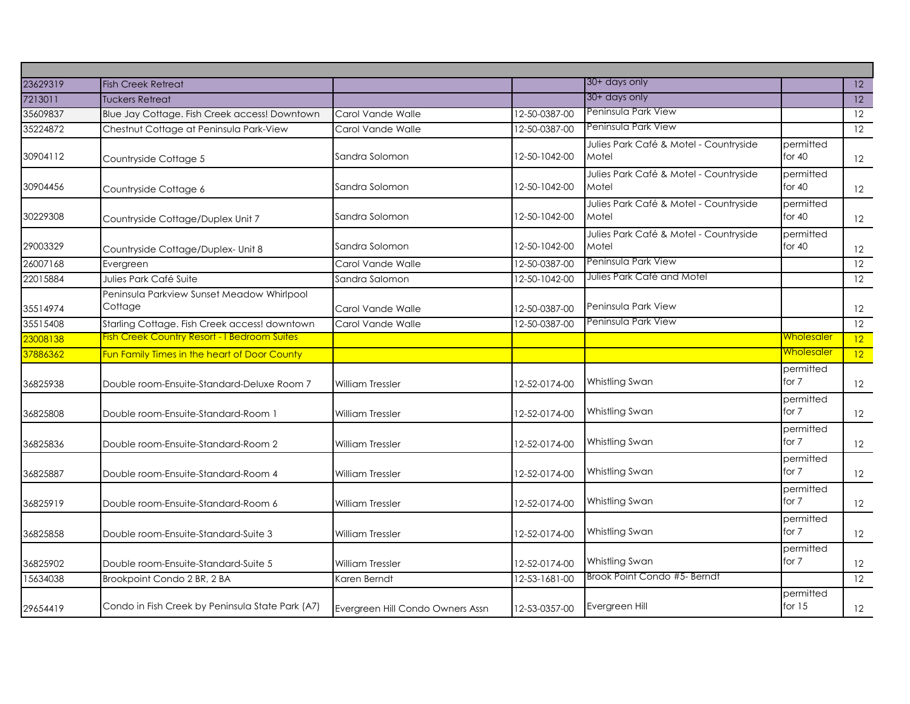| 23629319 | <b>Fish Creek Retreat</b>                             |                                  |               | 30+ days only                                   |                       | $\overline{12}$   |
|----------|-------------------------------------------------------|----------------------------------|---------------|-------------------------------------------------|-----------------------|-------------------|
| 7213011  | <b>Tuckers Retreat</b>                                |                                  |               | 30+ days only                                   |                       | $\overline{12}$   |
| 35609837 | Blue Jay Cottage. Fish Creek access! Downtown         | Carol Vande Walle                | 12-50-0387-00 | Peninsula Park View                             |                       | 12                |
| 35224872 | Chestnut Cottage at Peninsula Park-View               | Carol Vande Walle                | 12-50-0387-00 | Peninsula Park View                             |                       | 12                |
| 30904112 | Countryside Cottage 5                                 | Sandra Solomon                   | 12-50-1042-00 | Julies Park Café & Motel - Countryside<br>Motel | permitted<br>for $40$ | 12                |
| 30904456 | Countryside Cottage 6                                 | Sandra Solomon                   | 12-50-1042-00 | Julies Park Café & Motel - Countryside<br>Motel | permitted<br>for $40$ | 12                |
| 30229308 | Countryside Cottage/Duplex Unit 7                     | Sandra Solomon                   | 12-50-1042-00 | Julies Park Café & Motel - Countryside<br>Motel | permitted<br>for $40$ | 12                |
| 29003329 | Countryside Cottage/Duplex- Unit 8                    | Sandra Solomon                   | 12-50-1042-00 | Julies Park Café & Motel - Countryside<br>Motel | permitted<br>for $40$ | $12 \overline{ }$ |
| 26007168 | Evergreen                                             | Carol Vande Walle                | 12-50-0387-00 | Peninsula Park View                             |                       | 12                |
| 22015884 | Julies Park Café Suite                                | Sandra Salomon                   | 12-50-1042-00 | Julies Park Café and Motel                      |                       | $\overline{12}$   |
| 35514974 | Peninsula Parkview Sunset Meadow Whirlpool<br>Cottage | Carol Vande Walle                | 12-50-0387-00 | Peninsula Park View                             |                       | 12                |
| 35515408 | Starling Cottage. Fish Creek access! downtown         | Carol Vande Walle                | 12-50-0387-00 | Peninsula Park View                             |                       | 12                |
| 23008138 | <b>Fish Creek Country Resort - I Bedroom Suites</b>   |                                  |               |                                                 | <u>Wholesaler</u>     | 12                |
| 37886362 | Fun Family Times in the heart of Door County          |                                  |               |                                                 | <u>Wholesaler</u>     | 12                |
| 36825938 | Double room-Ensuite-Standard-Deluxe Room 7            | <b>William Tressler</b>          | 12-52-0174-00 | Whistling Swan                                  | permitted<br>for 7    | 12                |
| 36825808 | Double room-Ensuite-Standard-Room 1                   | <b>William Tressler</b>          | 12-52-0174-00 | Whistling Swan                                  | permitted<br>for 7    | 12                |
| 36825836 | Double room-Ensuite-Standard-Room 2                   | <b>William Tressler</b>          | 12-52-0174-00 | Whistling Swan                                  | permitted<br>for 7    | 12                |
| 36825887 | Double room-Ensuite-Standard-Room 4                   | <b>William Tressler</b>          | 12-52-0174-00 | Whistling Swan                                  | permitted<br>for 7    | 12                |
| 36825919 | Double room-Ensuite-Standard-Room 6                   | <b>William Tressler</b>          | 12-52-0174-00 | Whistling Swan                                  | permitted<br>for 7    | 12                |
| 36825858 | Double room-Ensuite-Standard-Suite 3                  | <b>William Tressler</b>          | 12-52-0174-00 | Whistling Swan                                  | permitted<br>for 7    | 12                |
| 36825902 | Double room-Ensuite-Standard-Suite 5                  | <b>William Tressler</b>          | 12-52-0174-00 | Whistling Swan                                  | permitted<br>for 7    | 12                |
| 15634038 | Brookpoint Condo 2 BR, 2 BA                           | Karen Berndt                     | 12-53-1681-00 | Brook Point Condo #5- Berndt                    |                       | 12                |
| 29654419 | Condo in Fish Creek by Peninsula State Park (A7)      | Evergreen Hill Condo Owners Assn | 12-53-0357-00 | Evergreen Hill                                  | permitted<br>for $15$ | 12                |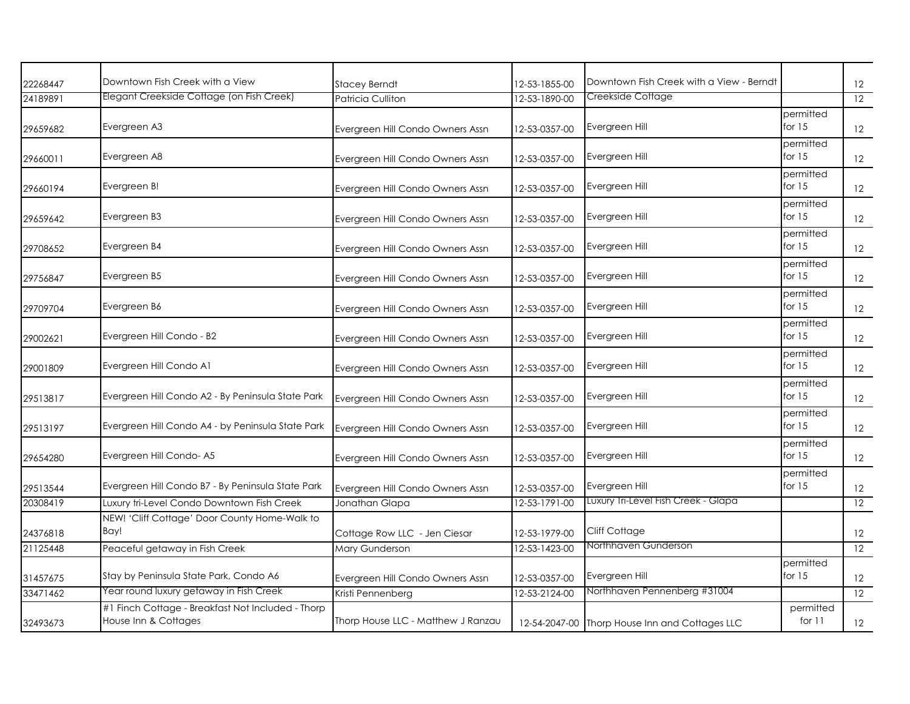| 22268447 | Downtown Fish Creek with a View                                           | <b>Stacey Berndt</b>               | 12-53-1855-00 | Downtown Fish Creek with a View - Berndt       |                       | 12                |
|----------|---------------------------------------------------------------------------|------------------------------------|---------------|------------------------------------------------|-----------------------|-------------------|
| 24189891 | Elegant Creekside Cottage (on Fish Creek)                                 | Patricia Culliton                  | 12-53-1890-00 | Creekside Cottage                              |                       | 12                |
| 29659682 | Evergreen A3                                                              | Evergreen Hill Condo Owners Assn   | 12-53-0357-00 | Evergreen Hill                                 | permitted<br>for $15$ | 12                |
| 29660011 | Evergreen A8                                                              | Evergreen Hill Condo Owners Assn   | 12-53-0357-00 | Evergreen Hill                                 | permitted<br>for $15$ | 12                |
| 29660194 | Evergreen B!                                                              | Evergreen Hill Condo Owners Assn   | 12-53-0357-00 | Evergreen Hill                                 | permitted<br>for $15$ | 12                |
| 29659642 | Evergreen B3                                                              | Evergreen Hill Condo Owners Assn   | 12-53-0357-00 | Evergreen Hill                                 | permitted<br>for $15$ | 12                |
| 29708652 | Evergreen B4                                                              | Evergreen Hill Condo Owners Assn   | 12-53-0357-00 | Evergreen Hill                                 | permitted<br>for $15$ | 12                |
| 29756847 | Evergreen B5                                                              | Evergreen Hill Condo Owners Assn   | 12-53-0357-00 | Evergreen Hill                                 | permitted<br>for $15$ | 12                |
| 29709704 | Evergreen B6                                                              | Evergreen Hill Condo Owners Assn   | 12-53-0357-00 | Evergreen Hill                                 | permitted<br>for $15$ | $12 \overline{ }$ |
| 29002621 | Evergreen Hill Condo - B2                                                 | Evergreen Hill Condo Owners Assn   | 12-53-0357-00 | Evergreen Hill                                 | permitted<br>for $15$ | 12                |
| 29001809 | Evergreen Hill Condo A1                                                   | Evergreen Hill Condo Owners Assn   | 12-53-0357-00 | Evergreen Hill                                 | permitted<br>for $15$ | 12                |
| 29513817 | Evergreen Hill Condo A2 - By Peninsula State Park                         | Evergreen Hill Condo Owners Assn   | 12-53-0357-00 | Evergreen Hill                                 | permitted<br>for $15$ | 12                |
| 29513197 | Evergreen Hill Condo A4 - by Peninsula State Park                         | Evergreen Hill Condo Owners Assn   | 12-53-0357-00 | Evergreen Hill                                 | permitted<br>for $15$ | 12                |
| 29654280 | Evergreen Hill Condo-A5                                                   | Evergreen Hill Condo Owners Assn   | 12-53-0357-00 | Evergreen Hill                                 | permitted<br>for $15$ | 12                |
| 29513544 | Evergreen Hill Condo B7 - By Peninsula State Park                         | Evergreen Hill Condo Owners Assn   | 12-53-0357-00 | Evergreen Hill                                 | permitted<br>for $15$ | 12                |
| 20308419 | Luxury tri-Level Condo Downtown Fish Creek                                | Jonathan Glapa                     | 12-53-1791-00 | Luxury Tri-Level Fish Creek - Glapa            |                       | 12                |
| 24376818 | NEW! 'Cliff Cottage' Door County Home-Walk to<br>Bay!                     | Cottage Row LLC - Jen Ciesar       | 12-53-1979-00 | Cliff Cottage                                  |                       | $12 \overline{ }$ |
| 21125448 | Peaceful getaway in Fish Creek                                            | Mary Gunderson                     | 12-53-1423-00 | Northhaven Gunderson                           |                       | 12                |
| 31457675 | Stay by Peninsula State Park, Condo A6                                    | Evergreen Hill Condo Owners Assn   | 12-53-0357-00 | Evergreen Hill                                 | permitted<br>for $15$ | $12 \overline{ }$ |
| 33471462 | Year round luxury getaway in Fish Creek                                   | Kristi Pennenberg                  | 12-53-2124-00 | Northhaven Pennenberg #31004                   |                       | $\overline{12}$   |
| 32493673 | #1 Finch Cottage - Breakfast Not Included - Thorp<br>House Inn & Cottages | Thorp House LLC - Matthew J Ranzau |               | 12-54-2047-00 Thorp House Inn and Cottages LLC | permitted<br>for $11$ | 12                |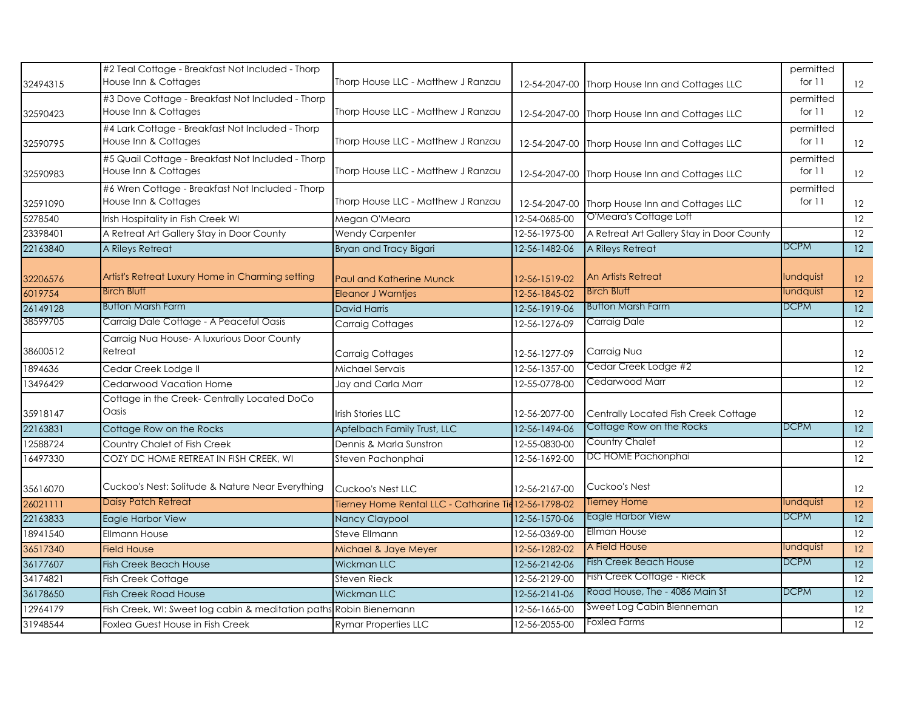| 32494315 | #2 Teal Cottage - Breakfast Not Included - Thorp<br>House Inn & Cottages  | Thorp House LLC - Matthew J Ranzau                    |               | 12-54-2047-00 Thorp House Inn and Cottages LLC | permitted<br>for $11$ | 12 <sup>2</sup>   |
|----------|---------------------------------------------------------------------------|-------------------------------------------------------|---------------|------------------------------------------------|-----------------------|-------------------|
|          | #3 Dove Cottage - Breakfast Not Included - Thorp                          |                                                       |               |                                                | permitted             |                   |
| 32590423 | House Inn & Cottages                                                      | Thorp House LLC - Matthew J Ranzau                    |               | 12-54-2047-00 Thorp House Inn and Cottages LLC | for 11                | 12 <sup>2</sup>   |
|          | #4 Lark Cottage - Breakfast Not Included - Thorp                          |                                                       |               |                                                | permitted             |                   |
| 32590795 | House Inn & Cottages                                                      | Thorp House LLC - Matthew J Ranzau                    |               | 12-54-2047-00 Thorp House Inn and Cottages LLC | for 11                | 12 <sup>2</sup>   |
| 32590983 | #5 Quail Cottage - Breakfast Not Included - Thorp<br>House Inn & Cottages | Thorp House LLC - Matthew J Ranzau                    |               | 12-54-2047-00 Thorp House Inn and Cottages LLC | permitted<br>for 11   | $12 \overline{ }$ |
| 32591090 | #6 Wren Cottage - Breakfast Not Included - Thorp<br>House Inn & Cottages  | Thorp House LLC - Matthew J Ranzau                    |               | 12-54-2047-00 Thorp House Inn and Cottages LLC | permitted<br>for $11$ | $12 \overline{ }$ |
| 5278540  | Irish Hospitality in Fish Creek WI                                        | Megan O'Meara                                         | 12-54-0685-00 | O'Meara's Cottage Loft                         |                       | $\overline{12}$   |
| 23398401 | A Retreat Art Gallery Stay in Door County                                 | <b>Wendy Carpenter</b>                                | 12-56-1975-00 | A Retreat Art Gallery Stay in Door County      |                       | $\overline{12}$   |
| 22163840 | A Rileys Retreat                                                          | Bryan and Tracy Bigari                                | 12-56-1482-06 | A Rileys Retreat                               | <b>DCPM</b>           | 12 <sup>2</sup>   |
| 32206576 | Artist's Retreat Luxury Home in Charming setting                          | Paul and Katherine Munck                              | 12-56-1519-02 | An Artists Retreat                             | lundquist             | 12                |
| 6019754  | <b>Birch Bluff</b>                                                        | <b>Eleanor J Warntjes</b>                             | 12-56-1845-02 | <b>Birch Bluff</b>                             | lundquist             | 12                |
| 26149128 | <b>Button Marsh Farm</b>                                                  | <b>David Harris</b>                                   | 12-56-1919-06 | <b>Button Marsh Farm</b>                       | <b>DCPM</b>           | 12                |
| 38599705 | Carraig Dale Cottage - A Peaceful Oasis                                   | <b>Carraig Cottages</b>                               | 12-56-1276-09 | Carraig Dale                                   |                       | $\overline{12}$   |
|          | Carraig Nua House- A luxurious Door County                                |                                                       |               |                                                |                       |                   |
| 38600512 | Retreat                                                                   | <b>Carraig Cottages</b>                               | 12-56-1277-09 | Carraig Nua                                    |                       | $12 \overline{ }$ |
| 1894636  | Cedar Creek Lodge II                                                      | Michael Servais                                       | 12-56-1357-00 | Cedar Creek Lodge #2                           |                       | $\overline{12}$   |
| 13496429 | Cedarwood Vacation Home                                                   | Jay and Carla Marr                                    | 12-55-0778-00 | Cedarwood Marr                                 |                       | 12                |
| 35918147 | Cottage in the Creek- Centrally Located DoCo<br>Oasis                     | <b>Irish Stories LLC</b>                              | 12-56-2077-00 | Centrally Located Fish Creek Cottage           |                       | $12 \overline{ }$ |
| 22163831 | Cottage Row on the Rocks                                                  | Apfelbach Family Trust, LLC                           | 12-56-1494-06 | Cottage Row on the Rocks                       | <b>DCPM</b>           | 12                |
| 12588724 | Country Chalet of Fish Creek                                              | Dennis & Marla Sunstron                               | 12-55-0830-00 | Country Chalet                                 |                       | 12                |
| 16497330 | COZY DC HOME RETREAT IN FISH CREEK, WI                                    | Steven Pachonphai                                     | 12-56-1692-00 | DC HOME Pachonphai                             |                       | 12                |
| 35616070 | Cuckoo's Nest: Solitude & Nature Near Everything                          | Cuckoo's Nest LLC                                     | 12-56-2167-00 | Cuckoo's Nest                                  |                       | $12 \overline{ }$ |
| 26021111 | <b>Daisy Patch Retreat</b>                                                | Tierney Home Rental LLC - Catharine Tie 12-56-1798-02 |               | Tierney Home                                   | lundquist             | $ 12\rangle$      |
| 22163833 | Eagle Harbor View                                                         | Nancy Claypool                                        | 12-56-1570-06 | <b>Eagle Harbor View</b>                       | <b>DCPM</b>           | $\overline{12}$   |
| 18941540 | <b>Ellmann House</b>                                                      | Steve Ellmann                                         | 12-56-0369-00 | <b>Ellman House</b>                            |                       | $\overline{12}$   |
| 36517340 | <b>Field House</b>                                                        | Michael & Jaye Meyer                                  | 12-56-1282-02 | A Field House                                  | lundquist             | 12 <sup>°</sup>   |
| 36177607 | <b>Fish Creek Beach House</b>                                             | <b>Wickman LLC</b>                                    | 12-56-2142-06 | <b>Fish Creek Beach House</b>                  | <b>DCPM</b>           | 12 <sup>2</sup>   |
| 34174821 | <b>Fish Creek Cottage</b>                                                 | Steven Rieck                                          | 12-56-2129-00 | Fish Creek Cottage - Rieck                     |                       | 12                |
| 36178650 | <b>Fish Creek Road House</b>                                              | <b>Wickman LLC</b>                                    | 12-56-2141-06 | Road House, The - 4086 Main St                 | <b>DCPM</b>           | 12 <sup>2</sup>   |
| 12964179 | Fish Creek, WI: Sweet log cabin & meditation paths Robin Bienemann        |                                                       | 12-56-1665-00 | Sweet Log Cabin Bienneman                      |                       | 12                |
| 31948544 | Foxlea Guest House in Fish Creek                                          | <b>Rymar Properties LLC</b>                           | 12-56-2055-00 | Foxlea Farms                                   |                       | 12                |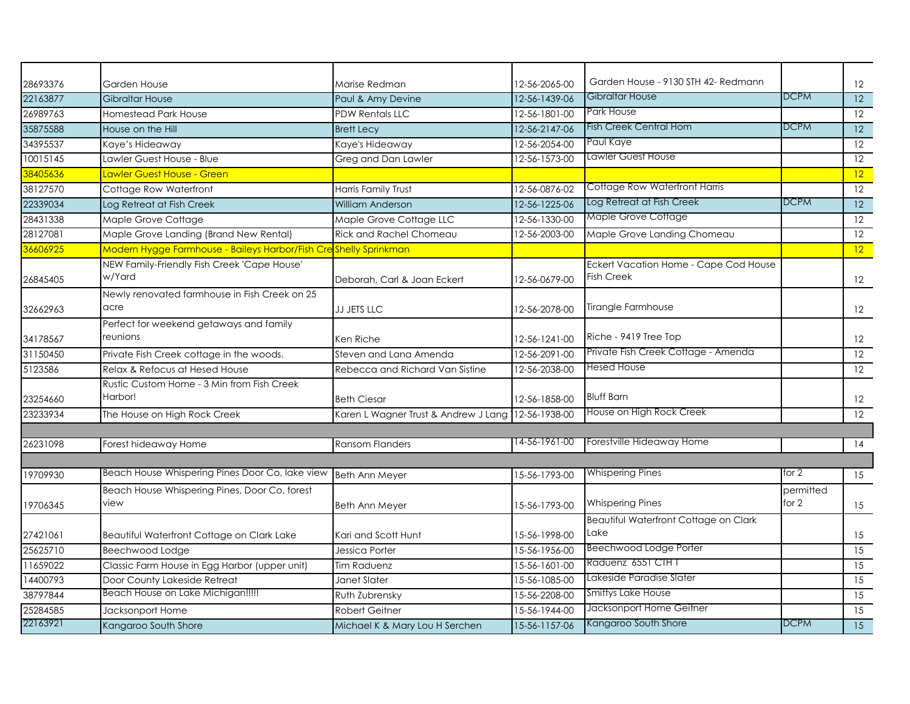| 28693376 | Garden House                                                     | Marise Redman                                      | 12-56-2065-00 | Garden House - 9130 STH 42- Redmann                        |                    | $12 \overline{ }$ |
|----------|------------------------------------------------------------------|----------------------------------------------------|---------------|------------------------------------------------------------|--------------------|-------------------|
| 22163877 | <b>Gibraltar House</b>                                           | Paul & Amy Devine                                  | 12-56-1439-06 | Gibraltar House                                            | <b>DCPM</b>        | 12 <sup>2</sup>   |
| 26989763 | <b>Homestead Park House</b>                                      | <b>PDW Rentals LLC</b>                             | 12-56-1801-00 | Park House                                                 |                    | $12 \overline{ }$ |
| 35875588 | House on the Hill                                                | <b>Brett Lecy</b>                                  | 12-56-2147-06 | Fish Creek Central Hom                                     | <b>DCPM</b>        | 12 <sup>°</sup>   |
| 34395537 | Kaye's Hideaway                                                  | Kaye's Hideaway                                    | 12-56-2054-00 | Paul Kaye                                                  |                    | 12                |
| 10015145 | Lawler Guest House - Blue                                        | Greg and Dan Lawler                                | 12-56-1573-00 | Lawler Guest House                                         |                    | 12                |
| 38405636 | Lawler Guest House - Green                                       |                                                    |               |                                                            |                    | 12 <sup>2</sup>   |
| 38127570 | Cottage Row Waterfront                                           | <b>Harris Family Trust</b>                         | 12-56-0876-02 | Cottage Row Waterfront Harris                              |                    | 12                |
| 22339034 | Log Retreat at Fish Creek                                        | <b>William Anderson</b>                            | 12-56-1225-06 | Log Retreat at Fish Creek                                  | <b>DCPM</b>        | 12 <sup>°</sup>   |
| 28431338 | Maple Grove Cottage                                              | Maple Grove Cottage LLC                            | 12-56-1330-00 | Maple Grove Cottage                                        |                    | 12                |
| 28127081 | Maple Grove Landing (Brand New Rental)                           | <b>Rick and Rachel Chomeau</b>                     | 12-56-2003-00 | Maple Grove Landing Chomeau                                |                    | 12                |
| 36606925 | Modern Hygge Farmhouse - Baileys Harbor/Fish Creshelly Sprinkman |                                                    |               |                                                            |                    | 12                |
| 26845405 | NEW Family-Friendly Fish Creek 'Cape House'<br>w/Yard            | Deborah, Carl & Joan Eckert                        | 12-56-0679-00 | Eckert Vacation Home - Cape Cod House<br><b>Fish Creek</b> |                    | 12                |
| 32662963 | Newly renovated farmhouse in Fish Creek on 25<br>acre            | JJ JETS LLC                                        | 12-56-2078-00 | Tirangle Farmhouse                                         |                    | $12 \overline{ }$ |
| 34178567 | Perfect for weekend getaways and family<br>reunions              | Ken Riche                                          | 12-56-1241-00 | Riche - 9419 Tree Top                                      |                    | $12 \,$           |
| 31150450 | Private Fish Creek cottage in the woods.                         | Steven and Lana Amenda                             | 12-56-2091-00 | Private Fish Creek Cottage - Amenda                        |                    | 12                |
| 5123586  | Relax & Refocus at Hesed House                                   | Rebecca and Richard Van Sistine                    | 12-56-2038-00 | Hesed House                                                |                    | 12 <sup>2</sup>   |
| 23254660 | Rustic Custom Home - 3 Min from Fish Creek<br>Harbor!            | <b>Beth Ciesar</b>                                 | 12-56-1858-00 | <b>Bluff Barn</b>                                          |                    | $12 \overline{ }$ |
| 23233934 | The House on High Rock Creek                                     | Karen L Wagner Trust & Andrew J Lang 12-56-1938-00 |               | House on High Rock Creek                                   |                    | 12                |
|          |                                                                  |                                                    |               |                                                            |                    |                   |
| 26231098 | Forest hideaway Home                                             | <b>Ransom Flanders</b>                             | 14-56-1961-00 | Forestville Hideaway Home                                  |                    | 14                |
| 19709930 | Beach House Whispering Pines Door Co, lake view                  | <b>Beth Ann Meyer</b>                              | 15-56-1793-00 | <b>Whispering Pines</b>                                    | for 2              | 15                |
| 19706345 | Beach House Whispering Pines, Door Co, forest<br>view            | <b>Beth Ann Meyer</b>                              | 15-56-1793-00 | <b>Whispering Pines</b>                                    | permitted<br>for 2 | 15                |
| 27421061 | Beautiful Waterfront Cottage on Clark Lake                       | Kari and Scott Hunt                                | 15-56-1998-00 | Beautiful Waterfront Cottage on Clark<br>Lake              |                    | 15                |
| 25625710 | Beechwood Lodge                                                  | Jessica Porter                                     | 15-56-1956-00 | Beechwood Lodge Porter                                     |                    | 15                |
| 11659022 | Classic Farm House in Egg Harbor (upper unit)                    | <b>Tim Raduenz</b>                                 | 15-56-1601-00 | Raduenz 6551 CTH T                                         |                    | 15                |
| 14400793 | Door County Lakeside Retreat                                     | Janet Slater                                       | 15-56-1085-00 | Lakeside Paradise Slater                                   |                    | 15                |
| 38797844 | Beach House on Lake Michigan!!!!!                                | Ruth Zubrensky                                     | 15-56-2208-00 | Smittys Lake House                                         |                    | 15                |
| 25284585 | Jacksonport Home                                                 | <b>Robert Geitner</b>                              | 15-56-1944-00 | Jacksonport Home Geitner                                   |                    | 15                |
| 22163921 | Kangaroo South Shore                                             | Michael K & Mary Lou H Serchen                     | 15-56-1157-06 | Kangaroo South Shore                                       | <b>DCPM</b>        | 15                |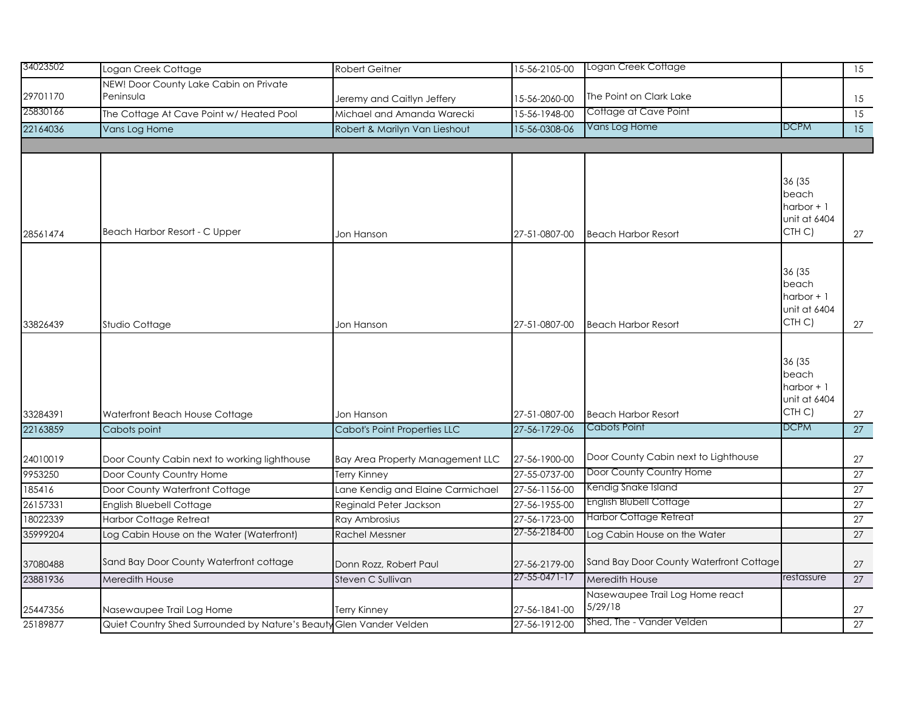| 34023502 | Logan Creek Cottage                                                 | <b>Robert Geitner</b>               | 15-56-2105-00                  | Logan Creek Cottage                        |                    | $\overline{15}$ |
|----------|---------------------------------------------------------------------|-------------------------------------|--------------------------------|--------------------------------------------|--------------------|-----------------|
|          | NEW! Door County Lake Cabin on Private                              |                                     |                                |                                            |                    |                 |
| 29701170 | Peninsula                                                           | Jeremy and Caitlyn Jeffery          | 15-56-2060-00                  | The Point on Clark Lake                    |                    | 15              |
| 25830166 | The Cottage At Cave Point w/ Heated Pool                            | Michael and Amanda Warecki          | 15-56-1948-00                  | Cottage at Cave Point                      |                    | $\overline{15}$ |
| 22164036 | Vans Log Home                                                       | Robert & Marilyn Van Lieshout       | 15-56-0308-06                  | Vans Log Home                              | <b>DCPM</b>        | 15              |
|          |                                                                     |                                     |                                |                                            |                    |                 |
|          |                                                                     |                                     |                                |                                            |                    |                 |
|          |                                                                     |                                     |                                |                                            | 36 (35             |                 |
|          |                                                                     |                                     |                                |                                            | beach              |                 |
|          |                                                                     |                                     |                                |                                            | harbor $+1$        |                 |
|          |                                                                     |                                     |                                |                                            | unit at 6404       |                 |
| 28561474 | Beach Harbor Resort - C Upper                                       | Jon Hanson                          | 27-51-0807-00                  | <b>Beach Harbor Resort</b>                 | CTH C)             | 27              |
|          |                                                                     |                                     |                                |                                            |                    |                 |
|          |                                                                     |                                     |                                |                                            | 36 (35             |                 |
|          |                                                                     |                                     |                                |                                            | beach              |                 |
|          |                                                                     |                                     |                                |                                            | harbor $+1$        |                 |
|          |                                                                     |                                     |                                |                                            | unit at 6404       |                 |
| 33826439 | Studio Cottage                                                      | Jon Hanson                          | 27-51-0807-00                  | <b>Beach Harbor Resort</b>                 | CTH <sub>C</sub> ) | 27              |
|          |                                                                     |                                     |                                |                                            |                    |                 |
|          |                                                                     |                                     |                                |                                            | 36 (35             |                 |
|          |                                                                     |                                     |                                |                                            | beach              |                 |
|          |                                                                     |                                     |                                |                                            | harbor $+1$        |                 |
|          |                                                                     |                                     |                                |                                            | unit at 6404       |                 |
| 33284391 | Waterfront Beach House Cottage                                      | Jon Hanson                          | 27-51-0807-00                  | <b>Beach Harbor Resort</b>                 | CTH <sub>C</sub> ) | 27              |
| 22163859 | Cabots point                                                        | <b>Cabot's Point Properties LLC</b> | 27-56-1729-06                  | Cabots Point                               | <b>DCPM</b>        | 27              |
|          |                                                                     |                                     |                                |                                            |                    |                 |
| 24010019 | Door County Cabin next to working lighthouse                        | Bay Area Property Management LLC    | 27-56-1900-00                  | Door County Cabin next to Lighthouse       |                    | 27              |
| 9953250  | Door County Country Home                                            | Terry Kinney                        | 27-55-0737-00                  | Door County Country Home                   |                    | 27              |
| 185416   | Door County Waterfront Cottage                                      | Lane Kendig and Elaine Carmichael   | 27-56-1156-00                  | Kendig Snake Island                        |                    | 27              |
| 26157331 | <b>English Bluebell Cottage</b>                                     | Reginald Peter Jackson              | 27-56-1955-00                  | <b>English Blubell Cottage</b>             |                    | 27              |
| 18022339 | <b>Harbor Cottage Retreat</b>                                       | Ray Ambrosius                       | 27-56-1723-00                  | <b>Harbor Cottage Retreat</b>              |                    | 27              |
| 35999204 | Log Cabin House on the Water (Waterfront)                           | <b>Rachel Messner</b>               | 27-56-2184-00                  | Log Cabin House on the Water               |                    | 27              |
|          | Sand Bay Door County Waterfront cottage                             |                                     |                                | Sand Bay Door County Waterfront Cottage    |                    |                 |
| 37080488 |                                                                     | Donn Rozz, Robert Paul              | 27-56-2179-00<br>27-55-0471-17 |                                            | restassure         | 27              |
| 23881936 | Meredith House                                                      | Steven C Sullivan                   |                                | Meredith House                             |                    | 27              |
|          |                                                                     |                                     |                                | Nasewaupee Trail Log Home react<br>5/29/18 |                    |                 |
| 25447356 | Nasewaupee Trail Log Home                                           | Terry Kinney                        | 27-56-1841-00                  |                                            |                    | 27              |
| 25189877 | Quiet Country Shed Surrounded by Nature's Beauty Glen Vander Velden |                                     | 27-56-1912-00                  | Shed, The - Vander Velden                  |                    | 27              |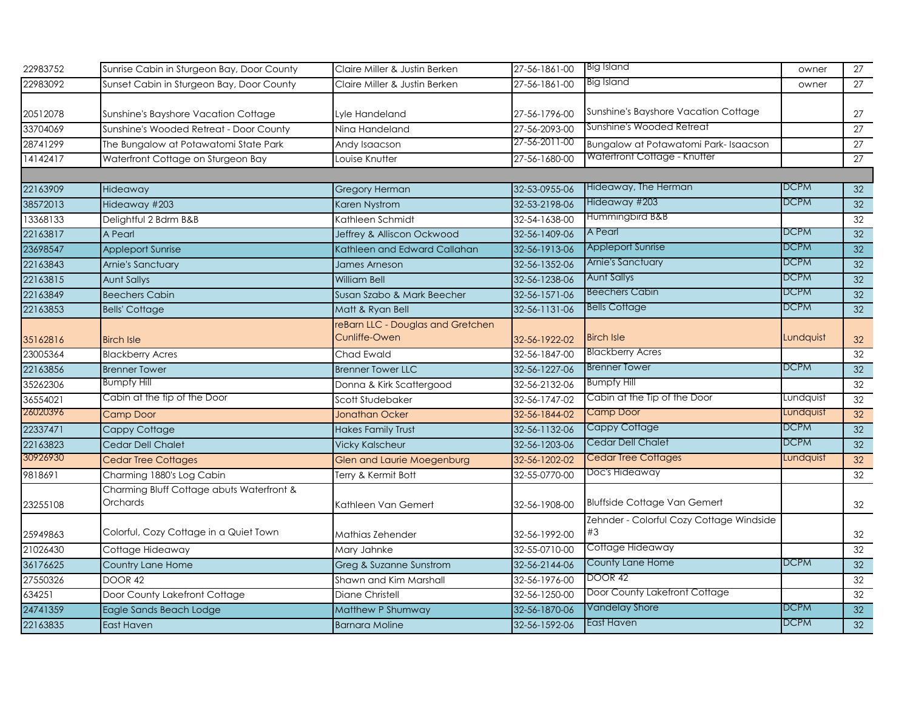| 22983752 | Sunrise Cabin in Sturgeon Bay, Door County                   | Claire Miller & Justin Berken                      | 27-56-1861-00 | <b>Big Island</b>                              | owner       | 27              |
|----------|--------------------------------------------------------------|----------------------------------------------------|---------------|------------------------------------------------|-------------|-----------------|
| 22983092 | Sunset Cabin in Sturgeon Bay, Door County                    | Claire Miller & Justin Berken                      | 27-56-1861-00 | Big Island                                     | owner       | 27              |
|          |                                                              |                                                    |               |                                                |             |                 |
| 20512078 | Sunshine's Bayshore Vacation Cottage                         | Lyle Handeland                                     | 27-56-1796-00 | Sunshine's Bayshore Vacation Cottage           |             | 27              |
| 33704069 | Sunshine's Wooded Retreat - Door County                      | Nina Handeland                                     | 27-56-2093-00 | Sunshine's Wooded Retreat                      |             | $\overline{27}$ |
| 28741299 | The Bungalow at Potawatomi State Park                        | Andy Isaacson                                      | 27-56-2011-00 | Bungalow at Potawatomi Park-Isaacson           |             | 27              |
| 14142417 | Waterfront Cottage on Sturgeon Bay                           | Louise Knutter                                     | 27-56-1680-00 | Waterfront Cottage - Knutter                   |             | 27              |
|          |                                                              |                                                    |               |                                                |             |                 |
| 22163909 | Hideaway                                                     | <b>Gregory Herman</b>                              | 32-53-0955-06 | Hideaway, The Herman                           | <b>DCPM</b> | 32              |
| 38572013 | Hideaway #203                                                | Karen Nystrom                                      | 32-53-2198-06 | Hideaway #203                                  | DCPM        | 32 <sup>2</sup> |
| 13368133 | Delightful 2 Bdrm B&B                                        | Kathleen Schmidt                                   | 32-54-1638-00 | Hummingbird B&B                                |             | 32              |
| 22163817 | A Pearl                                                      | Jeffrey & Alliscon Ockwood                         | 32-56-1409-06 | A Pearl                                        | <b>DCPM</b> | 32              |
| 23698547 | <b>Appleport Sunrise</b>                                     | Kathleen and Edward Callahan                       | 32-56-1913-06 | <b>Appleport Sunrise</b>                       | <b>DCPM</b> | 32              |
| 22163843 | Arnie's Sanctuary                                            | James Arneson                                      | 32-56-1352-06 | Arnie's Sanctuary                              | <b>DCPM</b> | 32              |
| 22163815 | <b>Aunt Sallys</b>                                           | <b>William Bell</b>                                | 32-56-1238-06 | <b>Aunt Sallys</b>                             | <b>DCPM</b> | 32              |
| 22163849 | <b>Beechers Cabin</b>                                        | Susan Szabo & Mark Beecher                         | 32-56-1571-06 | <b>Beechers Cabin</b>                          | <b>DCPM</b> | 32              |
| 22163853 | <b>Bells' Cottage</b>                                        | Matt & Ryan Bell                                   | 32-56-1131-06 | <b>Bells Cottage</b>                           | <b>DCPM</b> | 32              |
| 35162816 | <b>Birch Isle</b>                                            | reBarn LLC - Douglas and Gretchen<br>Cunliffe-Owen | 32-56-1922-02 | <b>Birch Isle</b>                              | Lundquist   | 32              |
| 23005364 | <b>Blackberry Acres</b>                                      | Chad Ewald                                         | 32-56-1847-00 | <b>Blackberry Acres</b>                        |             | 32              |
| 22163856 | <b>Brenner Tower</b>                                         | <b>Brenner Tower LLC</b>                           | 32-56-1227-06 | <b>Brenner Tower</b>                           | <b>DCPM</b> | 32              |
| 35262306 | <b>Bumpfy Hill</b>                                           | Donna & Kirk Scattergood                           | 32-56-2132-06 | <b>Bumpfy Hill</b>                             |             | 32              |
| 36554021 | Cabin at the tip of the Door                                 | Scott Studebaker                                   | 32-56-1747-02 | Cabin at the Tip of the Door                   | Lundquist   | 32              |
| 26020396 | Camp Door                                                    | <b>Jonathan Ocker</b>                              | 32-56-1844-02 | Camp Door                                      | Lundquist   | 32              |
| 22337471 | Cappy Cottage                                                | <b>Hakes Family Trust</b>                          | 32-56-1132-06 | Cappy Cottage                                  | <b>DCPM</b> | 32              |
| 22163823 | Cedar Dell Chalet                                            | <b>Vicky Kalscheur</b>                             | 32-56-1203-06 | Cedar Dell Chalet                              | <b>DCPM</b> | 32              |
| 30926930 | <b>Cedar Tree Cottages</b>                                   | <b>Glen and Laurie Moegenburg</b>                  | 32-56-1202-02 | <b>Cedar Tree Cottages</b>                     | Lundquist   | 32              |
| 9818691  | Charming 1880's Log Cabin                                    | Terry & Kermit Bott                                | 32-55-0770-00 | Doc's Hideaway                                 |             | 32              |
| 23255108 | Charming Bluff Cottage abuts Waterfront &<br><b>Orchards</b> | Kathleen Van Gemert                                | 32-56-1908-00 | <b>Bluffside Cottage Van Gemert</b>            |             | 32              |
| 25949863 | Colorful, Cozy Cottage in a Quiet Town                       | Mathias Zehender                                   | 32-56-1992-00 | Zehnder - Colorful Cozy Cottage Windside<br>#3 |             | 32              |
| 21026430 | Cottage Hideaway                                             | Mary Jahnke                                        | 32-55-0710-00 | Cottage Hideaway                               |             | 32              |
| 36176625 | Country Lane Home                                            | Greg & Suzanne Sunstrom                            | 32-56-2144-06 | County Lane Home                               | <b>DCPM</b> | 32 <sup>2</sup> |
| 27550326 | DOOR 42                                                      | Shawn and Kim Marshall                             | 32-56-1976-00 | DOOR 42                                        |             | 32              |
| 634251   | Door County Lakefront Cottage                                | Diane Christell                                    | 32-56-1250-00 | Door County Lakefront Cottage                  |             | 32              |
| 24741359 | Eagle Sands Beach Lodge                                      | Matthew P Shumway                                  | 32-56-1870-06 | Vandelay Shore                                 | <b>DCPM</b> | 32              |
| 22163835 | East Haven                                                   | <b>Barnara Moline</b>                              | 32-56-1592-06 | East Haven                                     | <b>DCPM</b> | 32              |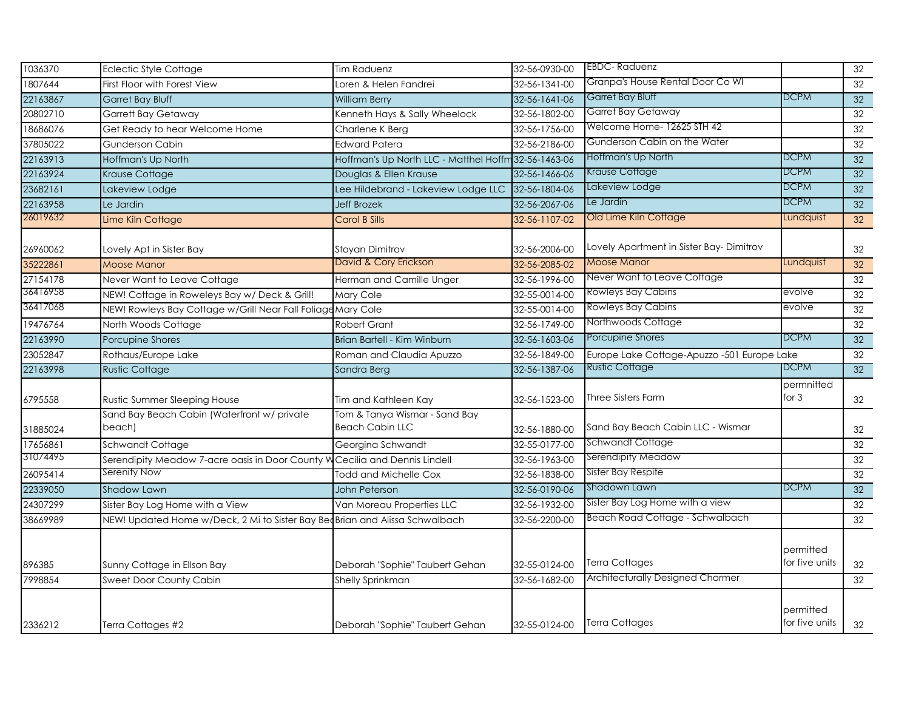| 1036370  | <b>Eclectic Style Cottage</b>                                                | <b>Tim Raduenz</b>                                      | 32-56-0930-00 | <b>EBDC-Raduenz</b>                         |                             | 32              |
|----------|------------------------------------------------------------------------------|---------------------------------------------------------|---------------|---------------------------------------------|-----------------------------|-----------------|
| 1807644  | First Floor with Forest View                                                 | Loren & Helen Fandrei                                   | 32-56-1341-00 | Granpa's House Rental Door Co WI            |                             | 32              |
| 22163867 | <b>Garret Bay Bluff</b>                                                      | <b>William Berry</b>                                    | 32-56-1641-06 | Garret Bay Bluff                            | <b>DCPM</b>                 | 32              |
| 20802710 | Garrett Bay Getaway                                                          | Kenneth Hays & Sally Wheelock                           | 32-56-1802-00 | <b>Garret Bay Getaway</b>                   |                             | 32              |
| 18686076 | Get Ready to hear Welcome Home                                               | Charlene K Berg                                         | 32-56-1756-00 | Welcome Home-12625 STH 42                   |                             | 32              |
| 37805022 | Gunderson Cabin                                                              | <b>Edward Patera</b>                                    | 32-56-2186-00 | Gunderson Cabin on the Water                |                             | 32              |
| 22163913 | Hoffman's Up North                                                           | Hoffman's Up North LLC - Matthel Hoffm 32-56-1463-06    |               | Hoffman's Up North                          | <b>DCPM</b>                 | 32              |
| 22163924 | Krause Cottage                                                               | Douglas & Ellen Krause                                  | 32-56-1466-06 | Krause Cottage                              | <b>DCPM</b>                 | 32              |
| 23682161 | Lakeview Lodge                                                               | Lee Hildebrand - Lakeview Lodge LLC                     | 32-56-1804-06 | Lakeview Lodge                              | <b>DCPM</b>                 | 32              |
| 22163958 | Le Jardin                                                                    | <b>Jeff Brozek</b>                                      | 32-56-2067-06 | Le Jardin                                   | <b>DCPM</b>                 | 32 <sup>2</sup> |
| 26019632 | Lime Kiln Cottage                                                            | <b>Carol B Sills</b>                                    | 32-56-1107-02 | Old Lime Kiln Cottage                       | Lundquist                   | $\overline{32}$ |
| 26960062 | Lovely Apt in Sister Bay                                                     | <b>Stoyan Dimitrov</b>                                  | 32-56-2006-00 | Lovely Apartment in Sister Bay-Dimitrov     |                             | 32              |
| 35222861 | <b>Moose Manor</b>                                                           | David & Cory Erickson                                   | 32-56-2085-02 | <b>Moose Manor</b>                          | Lundquist                   | $\overline{32}$ |
| 27154178 | Never Want to Leave Cottage                                                  | Herman and Camille Unger                                | 32-56-1996-00 | Never Want to Leave Cottage                 |                             | 32              |
| 36416958 | NEW! Cottage in Roweleys Bay w/ Deck & Grill!                                | Mary Cole                                               | 32-55-0014-00 | <b>Rowleys Bay Cabins</b>                   | evolve                      | 32              |
| 36417068 | NEW! Rowleys Bay Cottage w/Grill Near Fall Foliage Mary Cole                 |                                                         | 32-55-0014-00 | Rowleys Bay Cabins                          | evolve                      | 32              |
| 19476764 | North Woods Cottage                                                          | <b>Robert Grant</b>                                     | 32-56-1749-00 | Northwoods Cottage                          |                             | 32              |
| 22163990 | Porcupine Shores                                                             | Brian Bartell - Kim Winburn                             | 32-56-1603-06 | Porcupine Shores                            | <b>DCPM</b>                 | $\overline{32}$ |
| 23052847 | Rothaus/Europe Lake                                                          | Roman and Claudia Apuzzo                                | 32-56-1849-00 | Europe Lake Cottage-Apuzzo -501 Europe Lake |                             | 32              |
| 22163998 | <b>Rustic Cottage</b>                                                        | Sandra Berg                                             | 32-56-1387-06 | <b>Rustic Cottage</b>                       | <b>DCPM</b>                 | $\overline{32}$ |
| 6795558  | Rustic Summer Sleeping House                                                 | Tim and Kathleen Kay                                    | 32-56-1523-00 | <b>Three Sisters Farm</b>                   | permnitted<br>for $3$       | 32              |
| 31885024 | Sand Bay Beach Cabin (Waterfront w/ private<br>beach)                        | Tom & Tanya Wismar - Sand Bay<br><b>Beach Cabin LLC</b> | 32-56-1880-00 | Sand Bay Beach Cabin LLC - Wismar           |                             | 32              |
| 17656861 | Schwandt Cottage                                                             | Georgina Schwandt                                       | 32-55-0177-00 | <b>Schwandt Cottage</b>                     |                             | 32              |
| 31074495 | Serendipity Meadow 7-acre oasis in Door County W                             | Cecilia and Dennis Lindell                              | 32-56-1963-00 | Serendipity Meadow                          |                             | 32              |
| 26095414 | Serenity Now                                                                 | <b>Todd and Michelle Cox</b>                            | 32-56-1838-00 | Sister Bay Respite                          |                             | 32              |
| 22339050 | Shadow Lawn                                                                  | John Peterson                                           | 32-56-0190-06 | Shadown Lawn                                | <b>DCPM</b>                 | 32              |
| 24307299 | Sister Bay Log Home with a View                                              | Van Moreau Properties LLC                               | 32-56-1932-00 | Sister Bay Log Home with a view             |                             | 32              |
| 38669989 | NEW! Updated Home w/Deck, 2 Mi to Sister Bay Bed Brian and Alissa Schwalbach |                                                         | 32-56-2200-00 | Beach Road Cottage - Schwalbach             |                             | 32              |
| 896385   | Sunny Cottage in Ellson Bay                                                  | Deborah "Sophie" Taubert Gehan                          | 32-55-0124-00 | <b>Terra Cottages</b>                       | permitted<br>for five units | 32              |
| 7998854  | Sweet Door County Cabin                                                      | Shelly Sprinkman                                        | 32-56-1682-00 | <b>Architecturally Designed Charmer</b>     |                             | 32              |
| 2336212  | Terra Cottages #2                                                            | Deborah "Sophie" Taubert Gehan                          | 32-55-0124-00 | <b>Terra Cottages</b>                       | permitted<br>for five units | 32              |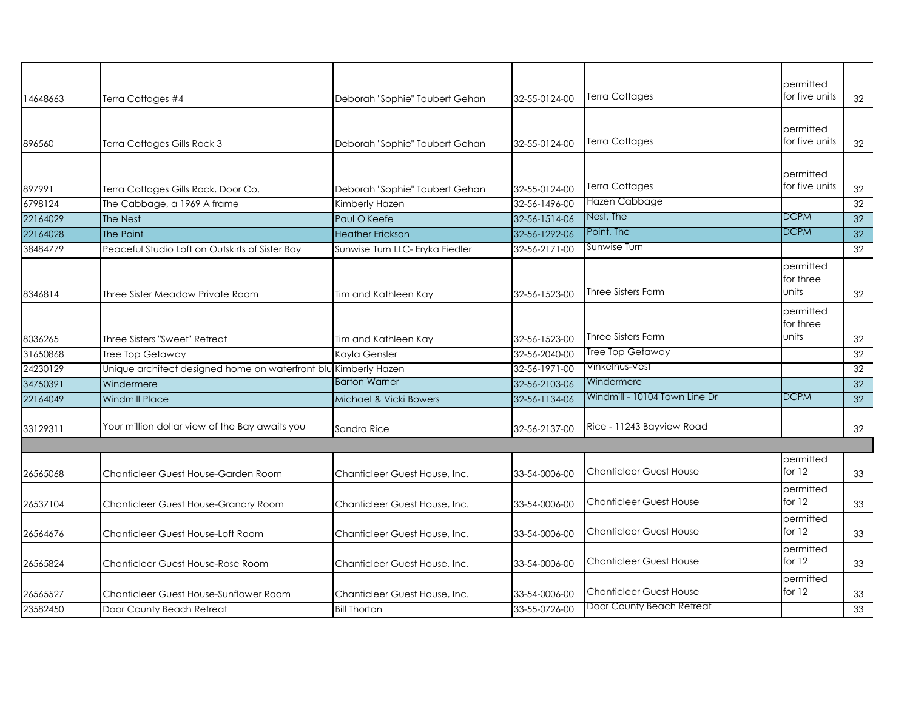| 14648663 | Terra Cottages #4                                               | Deborah "Sophie" Taubert Gehan  | 32-55-0124-00 | <b>Terra Cottages</b>          | permitted<br>for five units     | 32 |
|----------|-----------------------------------------------------------------|---------------------------------|---------------|--------------------------------|---------------------------------|----|
| 896560   | Terra Cottages Gills Rock 3                                     | Deborah "Sophie" Taubert Gehan  | 32-55-0124-00 | Terra Cottages                 | permitted<br>for five units     | 32 |
| 897991   | Terra Cottages Gills Rock, Door Co.                             | Deborah "Sophie" Taubert Gehan  | 32-55-0124-00 | Terra Cottages                 | permitted<br>for five units     | 32 |
| 6798124  | The Cabbage, a 1969 A frame                                     | Kimberly Hazen                  | 32-56-1496-00 | Hazen Cabbage                  |                                 | 32 |
| 22164029 | The Nest                                                        | Paul O'Keefe                    | 32-56-1514-06 | Nest, The                      | DCPM                            | 32 |
| 22164028 | The Point                                                       | <b>Heather Erickson</b>         | 32-56-1292-06 | Point, The                     | DCPM                            | 32 |
| 38484779 | Peaceful Studio Loft on Outskirts of Sister Bay                 | Sunwise Turn LLC- Eryka Fiedler | 32-56-2171-00 | Sunwise Turn                   |                                 | 32 |
| 8346814  | Three Sister Meadow Private Room                                | Tim and Kathleen Kay            | 32-56-1523-00 | <b>Three Sisters Farm</b>      | permitted<br>for three<br>units | 32 |
| 8036265  | Three Sisters "Sweet" Retreat                                   | Tim and Kathleen Kay            | 32-56-1523-00 | <b>Three Sisters Farm</b>      | permitted<br>for three<br>units | 32 |
| 31650868 | Tree Top Getaway                                                | Kayla Gensler                   | 32-56-2040-00 | <b>Tree Top Getaway</b>        |                                 | 32 |
| 24230129 | Unique architect designed home on waterfront blu Kimberly Hazen |                                 | 32-56-1971-00 | Vinkelhus-Vest                 |                                 | 32 |
| 34750391 | Windermere                                                      | <b>Barton Warner</b>            | 32-56-2103-06 | Windermere                     |                                 | 32 |
| 22164049 | <b>Windmill Place</b>                                           | Michael & Vicki Bowers          | 32-56-1134-06 | Windmill - 10104 Town Line Dr  | <b>DCPM</b>                     | 32 |
| 33129311 | Your million dollar view of the Bay awaits you                  | Sandra Rice                     | 32-56-2137-00 | Rice - 11243 Bayview Road      |                                 | 32 |
|          |                                                                 |                                 |               |                                |                                 |    |
| 26565068 | Chanticleer Guest House-Garden Room                             | Chanticleer Guest House, Inc.   | 33-54-0006-00 | <b>Chanticleer Guest House</b> | permitted<br>for $12$           | 33 |
| 26537104 | Chanticleer Guest House-Granary Room                            | Chanticleer Guest House, Inc.   | 33-54-0006-00 | <b>Chanticleer Guest House</b> | permitted<br>for $12$           | 33 |
| 26564676 | Chanticleer Guest House-Loft Room                               | Chanticleer Guest House, Inc.   | 33-54-0006-00 | Chanticleer Guest House        | permitted<br>for $12$           | 33 |
| 26565824 | Chanticleer Guest House-Rose Room                               | Chanticleer Guest House, Inc.   | 33-54-0006-00 | Chanticleer Guest House        | permitted<br>for $12$           | 33 |
| 26565527 | Chanticleer Guest House-Sunflower Room                          | Chanticleer Guest House, Inc.   | 33-54-0006-00 | Chanticleer Guest House        | permitted<br>for $12$           | 33 |
| 23582450 | Door County Beach Retreat                                       | <b>Bill Thorton</b>             | 33-55-0726-00 | Door County Beach Retreat      |                                 | 33 |
|          |                                                                 |                                 |               |                                |                                 |    |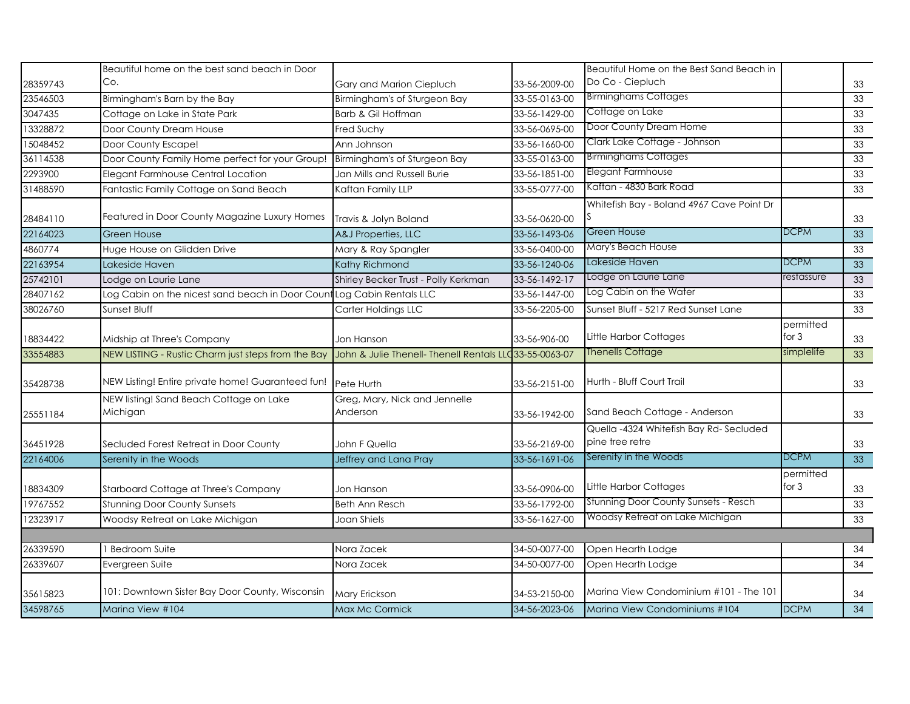|          | Beautiful home on the best sand beach in Door       |                                                         |               | Beautiful Home on the Best Sand Beach in                  |                      |                 |
|----------|-----------------------------------------------------|---------------------------------------------------------|---------------|-----------------------------------------------------------|----------------------|-----------------|
| 28359743 | Co.                                                 | Gary and Marion Ciepluch                                | 33-56-2009-00 | Do Co - Ciepluch                                          |                      | 33              |
| 23546503 | Birmingham's Barn by the Bay                        | Birmingham's of Sturgeon Bay                            | 33-55-0163-00 | <b>Birminghams Cottages</b>                               |                      | 33              |
| 3047435  | Cottage on Lake in State Park                       | Barb & Gil Hoffman                                      | 33-56-1429-00 | Cottage on Lake                                           |                      | 33              |
| 13328872 | Door County Dream House                             | Fred Suchy                                              | 33-56-0695-00 | Door County Dream Home                                    |                      | 33              |
| 15048452 | Door County Escape!                                 | Ann Johnson                                             | 33-56-1660-00 | Clark Lake Cottage - Johnson                              |                      | 33              |
| 36114538 | Door County Family Home perfect for your Group!     | Birmingham's of Sturgeon Bay                            | 33-55-0163-00 | <b>Birminghams Cottages</b>                               |                      | 33              |
| 2293900  | Elegant Farmhouse Central Location                  | Jan Mills and Russell Burie                             | 33-56-1851-00 | Elegant Farmhouse                                         |                      | 33              |
| 31488590 | Fantastic Family Cottage on Sand Beach              | Kaftan Family LLP                                       | 33-55-0777-00 | Kaftan - 4830 Bark Road                                   |                      | 33              |
| 28484110 | Featured in Door County Magazine Luxury Homes       | Travis & Jolyn Boland                                   | 33-56-0620-00 | Whitefish Bay - Boland 4967 Cave Point Dr                 |                      | 33              |
| 22164023 | <b>Green House</b>                                  | A&J Properties, LLC                                     | 33-56-1493-06 | Green House                                               | <b>DCPM</b>          | 33              |
| 4860774  | Huge House on Glidden Drive                         | Mary & Ray Spangler                                     | 33-56-0400-00 | Mary's Beach House                                        |                      | 33              |
| 22163954 | Lakeside Haven                                      | Kathy Richmond                                          | 33-56-1240-06 | Lakeside Haven                                            | DCPM                 | 33              |
| 25742101 | Lodge on Laurie Lane                                | Shirley Becker Trust - Polly Kerkman                    | 33-56-1492-17 | Lodge on Laurie Lane                                      | restassure           | 33              |
| 28407162 | Log Cabin on the nicest sand beach in Door Count    | Log Cabin Rentals LLC                                   | 33-56-1447-00 | Log Cabin on the Water                                    |                      | 33              |
| 38026760 | Sunset Bluff                                        | Carter Holdings LLC                                     | 33-56-2205-00 | Sunset Bluff - 5217 Red Sunset Lane                       |                      | 33              |
| 18834422 | Midship at Three's Company                          | Jon Hanson                                              | 33-56-906-00  | Little Harbor Cottages                                    | permitted<br>for $3$ | 33              |
| 33554883 | NEW LISTING - Rustic Charm just steps from the Bay  | John & Julie Thenell- Thenell Rentals LLC 33-55-0063-07 |               | Thenells Cottage                                          | simplelife           | 33              |
| 35428738 | NEW Listing! Entire private home! Guaranteed fun!   | Pete Hurth                                              | 33-56-2151-00 | Hurth - Bluff Court Trail                                 |                      | 33              |
| 25551184 | NEW listing! Sand Beach Cottage on Lake<br>Michigan | Greg, Mary, Nick and Jennelle<br>Anderson               | 33-56-1942-00 | Sand Beach Cottage - Anderson                             |                      | 33              |
| 36451928 | Secluded Forest Retreat in Door County              | John F Quella                                           | 33-56-2169-00 | Quella -4324 Whitefish Bay Rd-Secluded<br>pine tree retre |                      | 33              |
| 22164006 | Serenity in the Woods                               | Jeffrey and Lana Pray                                   | 33-56-1691-06 | Serenity in the Woods                                     | <b>DCPM</b>          | 33              |
| 18834309 | Starboard Cottage at Three's Company                | Jon Hanson                                              | 33-56-0906-00 | Little Harbor Cottages                                    | permitted<br>for 3   | 33              |
| 19767552 | <b>Stunning Door County Sunsets</b>                 | <b>Beth Ann Resch</b>                                   | 33-56-1792-00 | Stunning Door County Sunsets - Resch                      |                      | 33              |
| 12323917 | Woodsy Retreat on Lake Michigan                     | Joan Shiels                                             | 33-56-1627-00 | Woodsy Retreat on Lake Michigan                           |                      | 33              |
|          |                                                     |                                                         |               |                                                           |                      |                 |
| 26339590 | <b>Bedroom Suite</b>                                | Nora Zacek                                              | 34-50-0077-00 | Open Hearth Lodge                                         |                      | 34              |
| 26339607 | Evergreen Suite                                     | Nora Zacek                                              | 34-50-0077-00 | Open Hearth Lodge                                         |                      | $\overline{34}$ |
| 35615823 | 101: Downtown Sister Bay Door County, Wisconsin     | Mary Erickson                                           | 34-53-2150-00 | Marina View Condominium #101 - The 101                    |                      | 34              |
| 34598765 | Marina View #104                                    | Max Mc Cormick                                          | 34-56-2023-06 | Marina View Condominiums #104                             | <b>DCPM</b>          | $\overline{34}$ |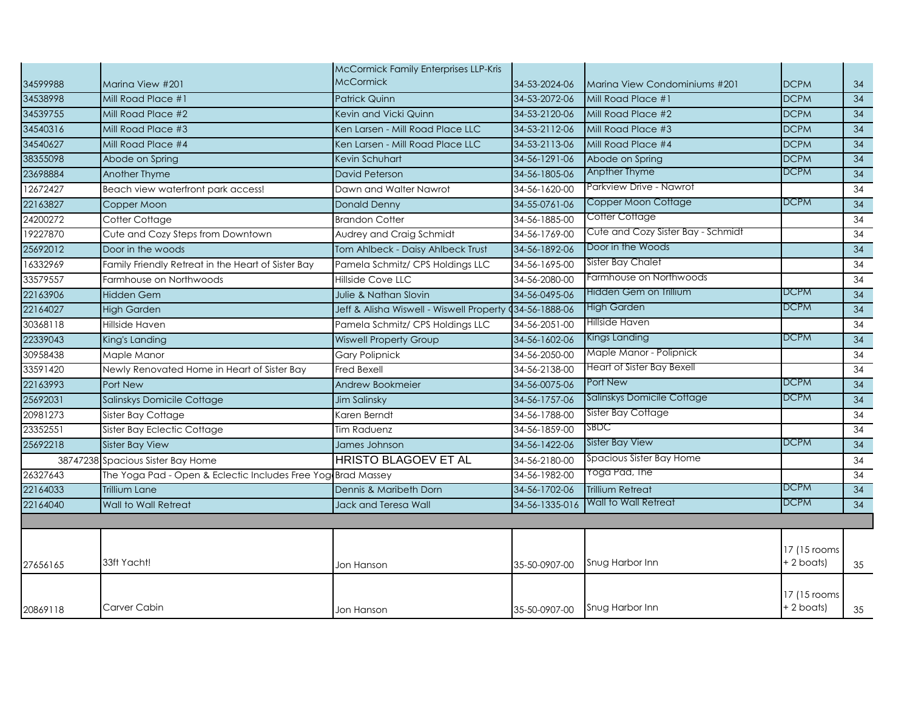| 34599988 | Marina View #201                                             | McCormick Family Enterprises LLP-Kris<br><b>McCormick</b> | 34-53-2024-06  | Marina View Condominiums #201      | <b>DCPM</b>                 | 34              |
|----------|--------------------------------------------------------------|-----------------------------------------------------------|----------------|------------------------------------|-----------------------------|-----------------|
| 34538998 | Mill Road Place #1                                           | <b>Patrick Quinn</b>                                      | 34-53-2072-06  | Mill Road Place #1                 | <b>DCPM</b>                 | 34              |
| 34539755 | Mill Road Place #2                                           | Kevin and Vicki Quinn                                     | 34-53-2120-06  | Mill Road Place #2                 | <b>DCPM</b>                 | $\overline{34}$ |
| 34540316 | Mill Road Place #3                                           | Ken Larsen - Mill Road Place LLC                          | 34-53-2112-06  | Mill Road Place #3                 | <b>DCPM</b>                 | 34              |
| 34540627 | Mill Road Place #4                                           | Ken Larsen - Mill Road Place LLC                          | 34-53-2113-06  | Mill Road Place #4                 | <b>DCPM</b>                 | $\overline{34}$ |
| 38355098 | Abode on Spring                                              | Kevin Schuhart                                            | 34-56-1291-06  | Abode on Spring                    | <b>DCPM</b>                 | 34              |
| 23698884 | Another Thyme                                                | <b>David Peterson</b>                                     | 34-56-1805-06  | Anpther Thyme                      | DCPM                        | $\overline{34}$ |
| 12672427 | Beach view waterfront park access!                           | Dawn and Walter Nawrot                                    | 34-56-1620-00  | Parkview Drive - Nawrot            |                             | 34              |
| 22163827 | Copper Moon                                                  | Donald Denny                                              | 34-55-0761-06  | Copper Moon Cottage                | DCPM                        | 34              |
| 24200272 | Cotter Cottage                                               | <b>Brandon Cotter</b>                                     | 34-56-1885-00  | Cotter Cottage                     |                             | 34              |
| 19227870 | Cute and Cozy Steps from Downtown                            | Audrey and Craig Schmidt                                  | 34-56-1769-00  | Cute and Cozy Sister Bay - Schmidt |                             | 34              |
| 25692012 | Door in the woods                                            | Tom Ahlbeck - Daisy Ahlbeck Trust                         | 34-56-1892-06  | Door in the Woods                  |                             | 34              |
| 16332969 | Family Friendly Retreat in the Heart of Sister Bay           | Pamela Schmitz/ CPS Holdings LLC                          | 34-56-1695-00  | Sister Bay Chalet                  |                             | 34              |
| 33579557 | Farmhouse on Northwoods                                      | Hillside Cove LLC                                         | 34-56-2080-00  | Farmhouse on Northwoods            |                             | $\overline{34}$ |
| 22163906 | Hidden Gem                                                   | Julie & Nathan Slovin                                     | 34-56-0495-06  | Hidden Gem on Trillium             | <b>DCPM</b>                 | 34              |
| 22164027 | <b>High Garden</b>                                           | Jeff & Alisha Wiswell - Wiswell Property (34-56-1888-06   |                | High Garden                        | DCPM                        | 34              |
| 30368118 | Hillside Haven                                               | Pamela Schmitz/ CPS Holdings LLC                          | 34-56-2051-00  | Hillside Haven                     |                             | 34              |
| 22339043 | King's Landing                                               | <b>Wiswell Property Group</b>                             | 34-56-1602-06  | Kings Landing                      | DCPM                        | 34              |
| 30958438 | Maple Manor                                                  | <b>Gary Polipnick</b>                                     | 34-56-2050-00  | Maple Manor - Polipnick            |                             | 34              |
| 33591420 | Newly Renovated Home in Heart of Sister Bay                  | <b>Fred Bexell</b>                                        | 34-56-2138-00  | Heart of Sister Bay Bexell         |                             | 34              |
| 22163993 | Port New                                                     | Andrew Bookmeier                                          | 34-56-0075-06  | Port New                           | <b>DCPM</b>                 | 34              |
| 25692031 | Salinskys Domicile Cottage                                   | Jim Salinsky                                              | 34-56-1757-06  | Salinskys Domicile Cottage         | <b>DCPM</b>                 | 34              |
| 20981273 | Sister Bay Cottage                                           | Karen Berndt                                              | 34-56-1788-00  | Sister Bay Cottage                 |                             | 34              |
| 23352551 | Sister Bay Eclectic Cottage                                  | Tim Raduenz                                               | 34-56-1859-00  | SBDC                               |                             | 34              |
| 25692218 | <b>Sister Bay View</b>                                       | James Johnson                                             | 34-56-1422-06  | <b>Sister Bay View</b>             | DCPM                        | 34              |
|          | 38747238 Spacious Sister Bay Home                            | <b>HRISTO BLAGOEV ET AL</b>                               | 34-56-2180-00  | Spacious Sister Bay Home           |                             | 34              |
| 26327643 | The Yoga Pad - Open & Eclectic Includes Free Yog Brad Massey |                                                           | 34-56-1982-00  | Yoga Pad, The                      |                             | 34              |
| 22164033 | <b>Trillium Lane</b>                                         | Dennis & Maribeth Dorn                                    | 34-56-1702-06  | <b>Trillium Retreat</b>            | <b>DCPM</b>                 | 34              |
| 22164040 | Wall to Wall Retreat                                         | Jack and Teresa Wall                                      | 34-56-1335-016 | Wall to Wall Retreat               | <b>DCPM</b>                 | 34              |
|          |                                                              |                                                           |                |                                    |                             |                 |
| 27656165 | 33ft Yacht!                                                  | Jon Hanson                                                | 35-50-0907-00  | Snug Harbor Inn                    | 17 (15 rooms<br>+ 2 boats)  | 35              |
| 20869118 | Carver Cabin                                                 | Jon Hanson                                                | 35-50-0907-00  | Snug Harbor Inn                    | 17 (15 rooms)<br>+ 2 boats) | 35              |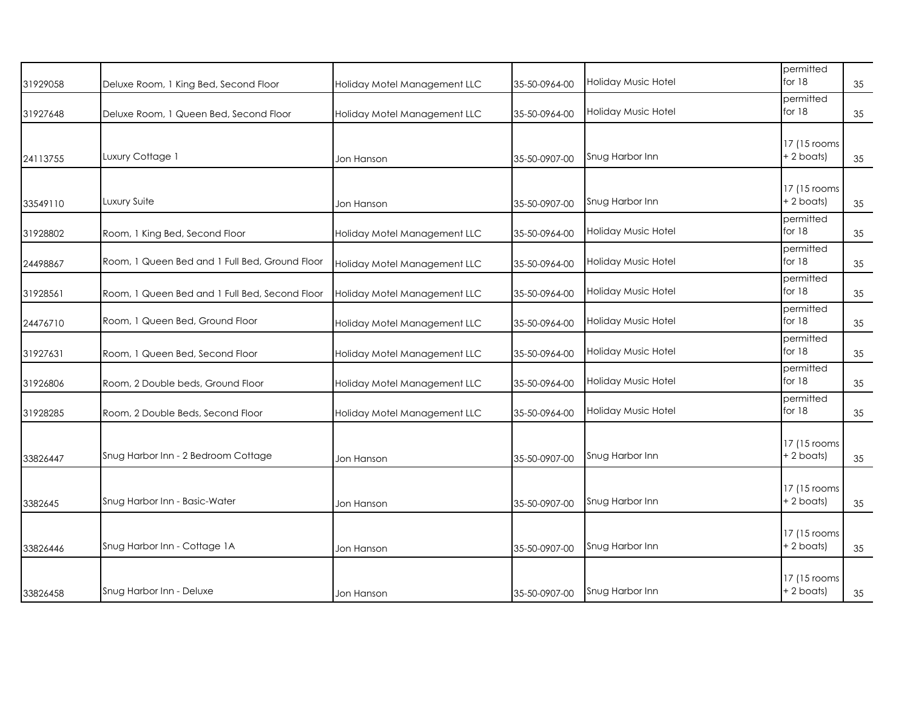| 31929058 | Deluxe Room, 1 King Bed, Second Floor          | Holiday Motel Management LLC | 35-50-0964-00 | Holiday Music Hotel        | permitted<br>for 18           | 35 |
|----------|------------------------------------------------|------------------------------|---------------|----------------------------|-------------------------------|----|
| 31927648 | Deluxe Room, 1 Queen Bed, Second Floor         | Holiday Motel Management LLC | 35-50-0964-00 | Holiday Music Hotel        | permitted<br>for 18           | 35 |
| 24113755 | Luxury Cottage 1                               | Jon Hanson                   | 35-50-0907-00 | Snug Harbor Inn            | 17 (15 rooms<br>$+ 2$ boats)  | 35 |
| 33549110 | Luxury Suite                                   | Jon Hanson                   | 35-50-0907-00 | Snug Harbor Inn            | 17 (15 rooms)<br>$+ 2$ boats) | 35 |
| 31928802 | Room, 1 King Bed, Second Floor                 | Holiday Motel Management LLC | 35-50-0964-00 | <b>Holiday Music Hotel</b> | permitted<br>for $18$         | 35 |
| 24498867 | Room, 1 Queen Bed and 1 Full Bed, Ground Floor | Holiday Motel Management LLC | 35-50-0964-00 | <b>Holiday Music Hotel</b> | permitted<br>for $18$         | 35 |
| 31928561 | Room, 1 Queen Bed and 1 Full Bed, Second Floor | Holiday Motel Management LLC | 35-50-0964-00 | Holiday Music Hotel        | permitted<br>for 18           | 35 |
| 24476710 | Room, 1 Queen Bed, Ground Floor                | Holiday Motel Management LLC | 35-50-0964-00 | Holiday Music Hotel        | permitted<br>for 18           | 35 |
| 31927631 | Room, 1 Queen Bed, Second Floor                | Holiday Motel Management LLC | 35-50-0964-00 | Holiday Music Hotel        | permitted<br>for 18           | 35 |
| 31926806 | Room, 2 Double beds, Ground Floor              | Holiday Motel Management LLC | 35-50-0964-00 | Holiday Music Hotel        | permitted<br>for $18$         | 35 |
| 31928285 | Room, 2 Double Beds, Second Floor              | Holiday Motel Management LLC | 35-50-0964-00 | Holiday Music Hotel        | permitted<br>for $18$         | 35 |
| 33826447 | Snug Harbor Inn - 2 Bedroom Cottage            | Jon Hanson                   | 35-50-0907-00 | Snug Harbor Inn            | 17 (15 rooms<br>$+2$ boats)   | 35 |
| 3382645  | Snug Harbor Inn - Basic-Water                  | Jon Hanson                   | 35-50-0907-00 | Snug Harbor Inn            | 17 (15 rooms<br>$+ 2$ boats)  | 35 |
| 33826446 | Snug Harbor Inn - Cottage 1A                   | Jon Hanson                   | 35-50-0907-00 | Snug Harbor Inn            | 17 (15 rooms)<br>$+ 2$ boats) | 35 |
| 33826458 | Snug Harbor Inn - Deluxe                       | Jon Hanson                   | 35-50-0907-00 | Snug Harbor Inn            | 17 (15 rooms)<br>$+2$ boats)  | 35 |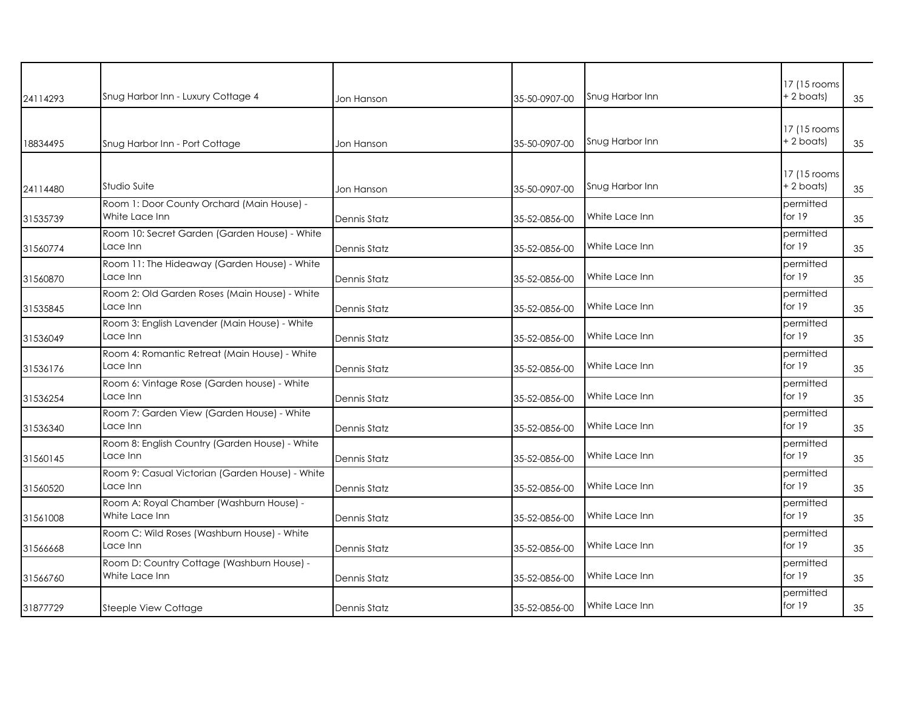| 24114293 | Snug Harbor Inn - Luxury Cottage 4                           | Jon Hanson          | 35-50-0907-00 | Snug Harbor Inn | 17 (15 rooms<br>+ 2 boats) | 35 |
|----------|--------------------------------------------------------------|---------------------|---------------|-----------------|----------------------------|----|
| 18834495 | Snug Harbor Inn - Port Cottage                               | Jon Hanson          | 35-50-0907-00 | Snug Harbor Inn | 17 (15 rooms<br>+ 2 boats) | 35 |
| 24114480 | Studio Suite                                                 | Jon Hanson          | 35-50-0907-00 | Snug Harbor Inn | 17 (15 rooms<br>+ 2 boats) | 35 |
| 31535739 | Room 1: Door County Orchard (Main House) -<br>White Lace Inn | Dennis Statz        | 35-52-0856-00 | White Lace Inn  | permitted<br>for $19$      | 35 |
| 31560774 | Room 10: Secret Garden (Garden House) - White<br>Lace Inn    | Dennis Statz        | 35-52-0856-00 | White Lace Inn  | permitted<br>for $19$      | 35 |
| 31560870 | Room 11: The Hideaway (Garden House) - White<br>Lace Inn     | Dennis Statz        | 35-52-0856-00 | White Lace Inn  | permitted<br>for $19$      | 35 |
| 31535845 | Room 2: Old Garden Roses (Main House) - White<br>Lace Inn    | <b>Dennis Statz</b> | 35-52-0856-00 | White Lace Inn  | permitted<br>for $19$      | 35 |
| 31536049 | Room 3: English Lavender (Main House) - White<br>Lace Inn    | Dennis Statz        | 35-52-0856-00 | White Lace Inn  | permitted<br>for $19$      | 35 |
| 31536176 | Room 4: Romantic Retreat (Main House) - White<br>Lace Inn    | <b>Dennis Statz</b> | 35-52-0856-00 | White Lace Inn  | permitted<br>for 19        | 35 |
| 31536254 | Room 6: Vintage Rose (Garden house) - White<br>Lace Inn      | Dennis Statz        | 35-52-0856-00 | White Lace Inn  | permitted<br>for $19$      | 35 |
| 31536340 | Room 7: Garden View (Garden House) - White<br>Lace Inn       | <b>Dennis Statz</b> | 35-52-0856-00 | White Lace Inn  | permitted<br>for $19$      | 35 |
| 31560145 | Room 8: English Country (Garden House) - White<br>Lace Inn   | Dennis Statz        | 35-52-0856-00 | White Lace Inn  | permitted<br>for $19$      | 35 |
| 31560520 | Room 9: Casual Victorian (Garden House) - White<br>Lace Inn  | <b>Dennis Statz</b> | 35-52-0856-00 | White Lace Inn  | permitted<br>for $19$      | 35 |
| 31561008 | Room A: Royal Chamber (Washburn House) -<br>White Lace Inn   | <b>Dennis Statz</b> | 35-52-0856-00 | White Lace Inn  | permitted<br>for 19        | 35 |
| 31566668 | Room C: Wild Roses (Washburn House) - White<br>Lace Inn      | <b>Dennis Statz</b> | 35-52-0856-00 | White Lace Inn  | permitted<br>for 19        | 35 |
| 31566760 | Room D: Country Cottage (Washburn House) -<br>White Lace Inn | <b>Dennis Statz</b> | 35-52-0856-00 | White Lace Inn  | permitted<br>for 19        | 35 |
| 31877729 | Steeple View Cottage                                         | <b>Dennis Statz</b> | 35-52-0856-00 | White Lace Inn  | permitted<br>for 19        | 35 |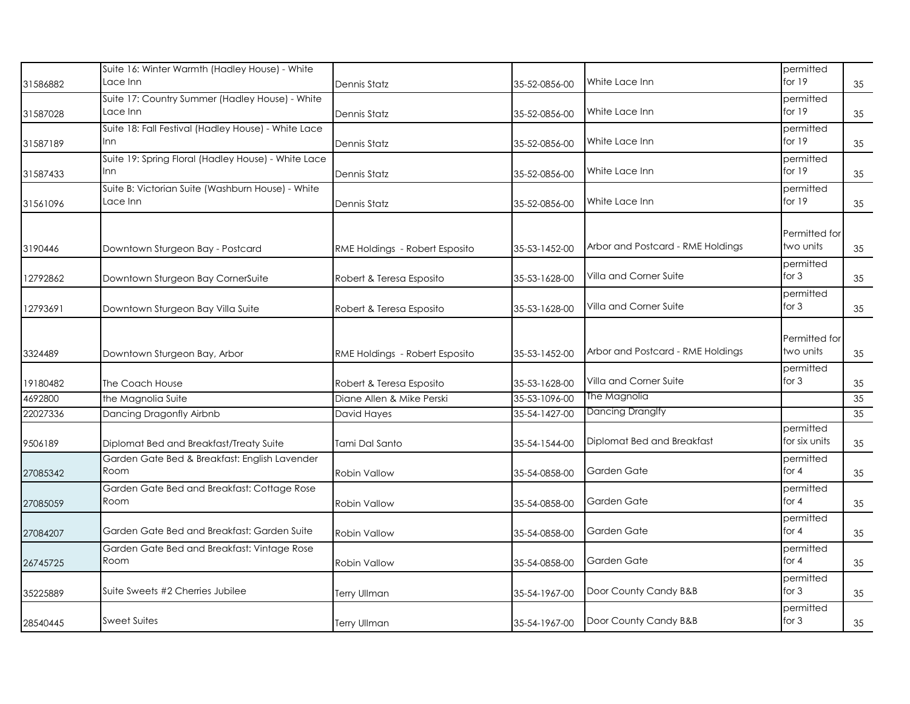|          | Suite 16: Winter Warmth (Hadley House) - White                |                                |               |                                   | permitted                  |    |
|----------|---------------------------------------------------------------|--------------------------------|---------------|-----------------------------------|----------------------------|----|
| 31586882 | Lace Inn                                                      | Dennis Statz                   | 35-52-0856-00 | White Lace Inn                    | for $19$                   | 35 |
|          | Suite 17: Country Summer (Hadley House) - White               |                                |               |                                   | permitted                  |    |
| 31587028 | Lace Inn                                                      | Dennis Statz                   | 35-52-0856-00 | White Lace Inn                    | for $19$                   | 35 |
| 31587189 | Suite 18: Fall Festival (Hadley House) - White Lace<br>Inn    | Dennis Statz                   | 35-52-0856-00 | White Lace Inn                    | permitted<br>for $19$      | 35 |
| 31587433 | Suite 19: Spring Floral (Hadley House) - White Lace<br>Inn    | Dennis Statz                   | 35-52-0856-00 | White Lace Inn                    | permitted<br>for 19        | 35 |
| 31561096 | Suite B: Victorian Suite (Washburn House) - White<br>Lace Inn | Dennis Statz                   | 35-52-0856-00 | White Lace Inn                    | permitted<br>for 19        | 35 |
| 3190446  | Downtown Sturgeon Bay - Postcard                              | RME Holdings - Robert Esposito | 35-53-1452-00 | Arbor and Postcard - RME Holdings | Permitted for<br>two units | 35 |
| 12792862 | Downtown Sturgeon Bay CornerSuite                             | Robert & Teresa Esposito       | 35-53-1628-00 | Villa and Corner Suite            | permitted<br>for $3$       | 35 |
| 12793691 | Downtown Sturgeon Bay Villa Suite                             | Robert & Teresa Esposito       | 35-53-1628-00 | Villa and Corner Suite            | permitted<br>for $3$       | 35 |
| 3324489  | Downtown Sturgeon Bay, Arbor                                  | RME Holdings - Robert Esposito | 35-53-1452-00 | Arbor and Postcard - RME Holdings | Permitted for<br>two units | 35 |
| 19180482 | The Coach House                                               | Robert & Teresa Esposito       | 35-53-1628-00 | Villa and Corner Suite            | permitted<br>for $3$       | 35 |
| 4692800  | the Magnolia Suite                                            | Diane Allen & Mike Perski      | 35-53-1096-00 | The Magnolia                      |                            | 35 |
| 22027336 | Dancing Dragonfly Airbnb                                      | David Hayes                    | 35-54-1427-00 | Dancing Dranglfy                  |                            | 35 |
| 9506189  | Diplomat Bed and Breakfast/Treaty Suite                       | Tami Dal Santo                 | 35-54-1544-00 | Diplomat Bed and Breakfast        | permitted<br>for six units | 35 |
| 27085342 | Garden Gate Bed & Breakfast: English Lavender<br>Room         | <b>Robin Vallow</b>            | 35-54-0858-00 | Garden Gate                       | permitted<br>for $4$       | 35 |
| 27085059 | Garden Gate Bed and Breakfast: Cottage Rose<br>Room           | <b>Robin Vallow</b>            | 35-54-0858-00 | Garden Gate                       | permitted<br>for $4$       | 35 |
| 27084207 | Garden Gate Bed and Breakfast: Garden Suite                   | <b>Robin Vallow</b>            | 35-54-0858-00 | Garden Gate                       | permitted<br>for $4$       | 35 |
| 26745725 | Garden Gate Bed and Breakfast: Vintage Rose<br>Room           | <b>Robin Vallow</b>            | 35-54-0858-00 | Garden Gate                       | permitted<br>for $4$       | 35 |
| 35225889 | Suite Sweets #2 Cherries Jubilee                              | <b>Terry Ullman</b>            | 35-54-1967-00 | Door County Candy B&B             | permitted<br>for $3$       | 35 |
| 28540445 | <b>Sweet Suites</b>                                           | <b>Terry Ullman</b>            | 35-54-1967-00 | Door County Candy B&B             | permitted<br>for $3$       | 35 |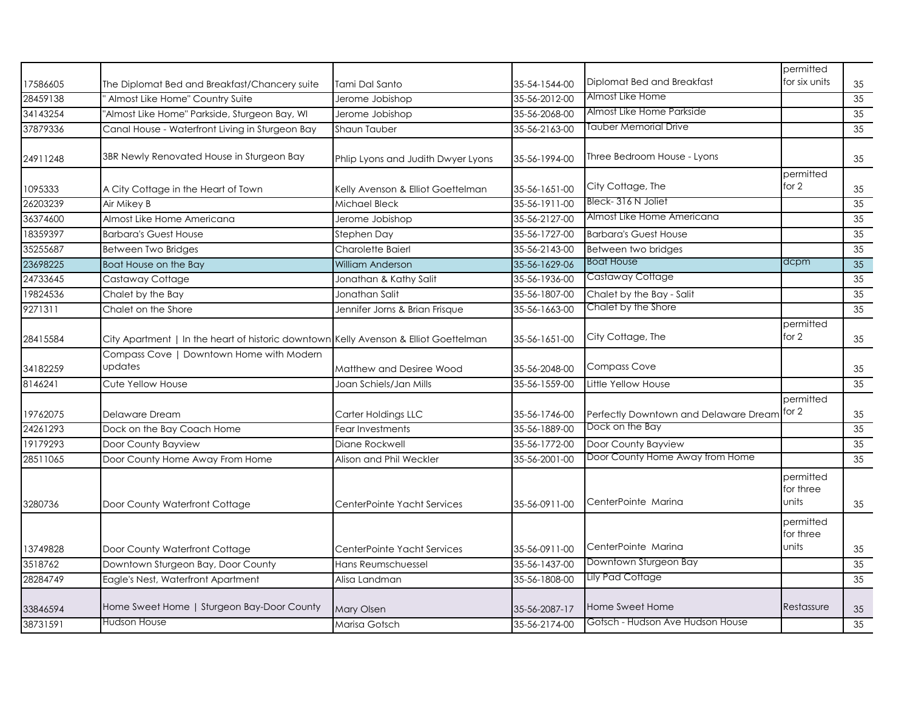| 17586605 | The Diplomat Bed and Breakfast/Chancery suite                                        | Tami Dal Santo                     | 35-54-1544-00 | Diplomat Bed and Breakfast                  | permitted<br>for six units      | 35 |
|----------|--------------------------------------------------------------------------------------|------------------------------------|---------------|---------------------------------------------|---------------------------------|----|
| 28459138 | Almost Like Home" Country Suite                                                      | Jerome Jobishop                    | 35-56-2012-00 | Almost Like Home                            |                                 | 35 |
| 34143254 | "Almost Like Home" Parkside, Sturgeon Bay, WI                                        | Jerome Jobishop                    | 35-56-2068-00 | Almost Like Home Parkside                   |                                 | 35 |
| 37879336 | Canal House - Waterfront Living in Sturgeon Bay                                      | Shaun Tauber                       | 35-56-2163-00 | Tauber Memorial Drive                       |                                 | 35 |
| 24911248 | 3BR Newly Renovated House in Sturgeon Bay                                            | Phlip Lyons and Judith Dwyer Lyons | 35-56-1994-00 | Three Bedroom House - Lyons                 |                                 | 35 |
|          |                                                                                      |                                    |               |                                             | permitted                       |    |
| 1095333  | A City Cottage in the Heart of Town                                                  | Kelly Avenson & Elliot Goettelman  | 35-56-1651-00 | City Cottage, The                           | for 2                           | 35 |
| 26203239 | Air Mikey B                                                                          | Michael Bleck                      | 35-56-1911-00 | Bleck-316 N Joliet                          |                                 | 35 |
| 36374600 | Almost Like Home Americana                                                           | Jerome Jobishop                    | 35-56-2127-00 | Almost Like Home Americana                  |                                 | 35 |
| 18359397 | <b>Barbara's Guest House</b>                                                         | Stephen Day                        | 35-56-1727-00 | <b>Barbara's Guest House</b>                |                                 | 35 |
| 35255687 | <b>Between Two Bridges</b>                                                           | Charolette Baierl                  | 35-56-2143-00 | Between two bridges                         |                                 | 35 |
| 23698225 | Boat House on the Bay                                                                | William Anderson                   | 35-56-1629-06 | <b>Boat House</b>                           | dcpm                            | 35 |
| 24733645 | Castaway Cottage                                                                     | Jonathan & Kathy Salit             | 35-56-1936-00 | Castaway Cottage                            |                                 | 35 |
| 19824536 | Chalet by the Bay                                                                    | Jonathan Salit                     | 35-56-1807-00 | Chalet by the Bay - Salit                   |                                 | 35 |
| 9271311  | Chalet on the Shore                                                                  | Jennifer Jorns & Brian Frisque     | 35-56-1663-00 | Chalet by the Shore                         |                                 | 35 |
| 28415584 | City Apartment   In the heart of historic downtown Kelly Avenson & Elliot Goettelman |                                    | 35-56-1651-00 | City Cottage, The                           | permitted<br>for 2              | 35 |
| 34182259 | Compass Cove   Downtown Home with Modern<br>updates                                  | Matthew and Desiree Wood           | 35-56-2048-00 | <b>Compass Cove</b>                         |                                 | 35 |
| 8146241  | Cute Yellow House                                                                    | Joan Schiels/Jan Mills             | 35-56-1559-00 | Little Yellow House                         |                                 | 35 |
| 19762075 | Delaware Dream                                                                       | Carter Holdings LLC                | 35-56-1746-00 | Perfectly Downtown and Delaware Dream for 2 | permitted                       | 35 |
| 24261293 | Dock on the Bay Coach Home                                                           | Fear Investments                   | 35-56-1889-00 | Dock on the Bay                             |                                 | 35 |
| 19179293 | Door County Bayview                                                                  | Diane Rockwell                     | 35-56-1772-00 | Door County Bayview                         |                                 | 35 |
| 28511065 | Door County Home Away From Home                                                      | Alison and Phil Weckler            | 35-56-2001-00 | Door County Home Away from Home             |                                 | 35 |
| 3280736  | Door County Waterfront Cottage                                                       | CenterPointe Yacht Services        | 35-56-0911-00 | CenterPointe Marina                         | permitted<br>for three<br>units | 35 |
| 13749828 | Door County Waterfront Cottage                                                       | CenterPointe Yacht Services        | 35-56-0911-00 | CenterPointe Marina                         | permitted<br>for three<br>units | 35 |
| 3518762  | Downtown Sturgeon Bay, Door County                                                   | Hans Reumschuessel                 | 35-56-1437-00 | Downtown Sturgeon Bay                       |                                 | 35 |
| 28284749 | Eagle's Nest, Waterfront Apartment                                                   | Alisa Landman                      | 35-56-1808-00 | Lily Pad Cottage                            |                                 | 35 |
| 33846594 | Home Sweet Home   Sturgeon Bay-Door County                                           | Mary Olsen                         | 35-56-2087-17 | Home Sweet Home                             | Restassure                      | 35 |
| 38731591 | Hudson House                                                                         | Marisa Gotsch                      | 35-56-2174-00 | Gotsch - Hudson Ave Hudson House            |                                 | 35 |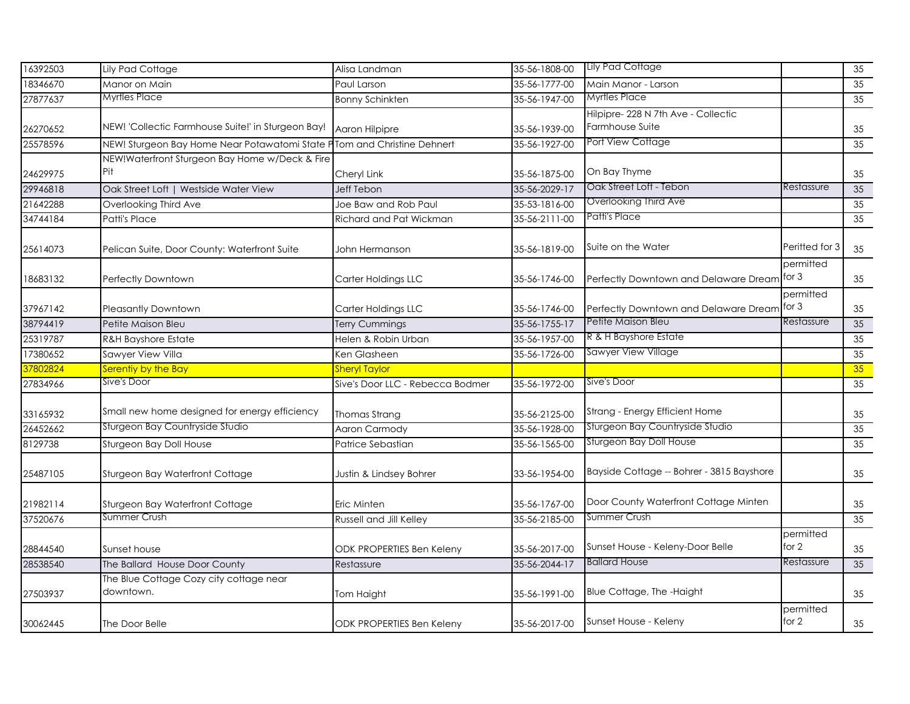| 16392503 | Lily Pad Cottage                                                        | Alisa Landman                    | 35-56-1808-00 | Lily Pad Cottage                                       |                      | 35              |
|----------|-------------------------------------------------------------------------|----------------------------------|---------------|--------------------------------------------------------|----------------------|-----------------|
| 18346670 | Manor on Main                                                           | Paul Larson                      | 35-56-1777-00 | Main Manor - Larson                                    |                      | 35              |
| 27877637 | Myrtles Place                                                           | <b>Bonny Schinkten</b>           | 35-56-1947-00 | <b>Myrtles Place</b>                                   |                      | $\overline{35}$ |
| 26270652 | NEW! 'Collectic Farmhouse Suite!' in Sturgeon Bay!                      | Aaron Hilpipre                   | 35-56-1939-00 | Hilpipre- 228 N 7th Ave - Collectic<br>Farmhouse Suite |                      | 35              |
| 25578596 | NEW! Sturgeon Bay Home Near Potawatomi State PTom and Christine Dehnert |                                  | 35-56-1927-00 | Port View Cottage                                      |                      | 35              |
| 24629975 | NEW!Waterfront Sturgeon Bay Home w/Deck & Fire<br>Pit                   | Cheryl Link                      | 35-56-1875-00 | On Bay Thyme                                           |                      | 35              |
| 29946818 | Oak Street Loft   Westside Water View                                   | Jeff Tebon                       | 35-56-2029-17 | Oak Street Loft - Tebon                                | Restassure           | 35              |
| 21642288 | Overlooking Third Ave                                                   | Joe Baw and Rob Paul             | 35-53-1816-00 | Overlooking Third Ave                                  |                      | 35              |
| 34744184 | <b>Patti's Place</b>                                                    | Richard and Pat Wickman          | 35-56-2111-00 | Patti's Place                                          |                      | 35              |
| 25614073 | Pelican Suite, Door County: Waterfront Suite                            | John Hermanson                   | 35-56-1819-00 | Suite on the Water                                     | Peritted for 3       | 35              |
| 18683132 | Perfectly Downtown                                                      | Carter Holdings LLC              | 35-56-1746-00 | Perfectly Downtown and Delaware Dream                  | permitted<br>for 3   | 35              |
| 37967142 | <b>Pleasantly Downtown</b>                                              | Carter Holdings LLC              | 35-56-1746-00 | Perfectly Downtown and Delaware Dream                  | permitted<br>for 3   | 35              |
| 38794419 | Petite Maison Bleu                                                      | Terry Cummings                   | 35-56-1755-17 | Petite Maison Bleu                                     | Restassure           | 35              |
| 25319787 | <b>R&amp;H Bayshore Estate</b>                                          | Helen & Robin Urban              | 35-56-1957-00 | R & H Bayshore Estate                                  |                      | 35              |
| 17380652 | Sawyer View Villa                                                       | Ken Glasheen                     | 35-56-1726-00 | Sawyer View Village                                    |                      | 35              |
| 37802824 | Serentiy by the Bay                                                     | <b>Sheryl Taylor</b>             |               |                                                        |                      | 35              |
| 27834966 | Sive's Door                                                             | Sive's Door LLC - Rebecca Bodmer | 35-56-1972-00 | Sive's Door                                            |                      | $\overline{35}$ |
| 33165932 | Small new home designed for energy efficiency                           | Thomas Strang                    | 35-56-2125-00 | Strang - Energy Efficient Home                         |                      | $35\,$          |
| 26452662 | Sturgeon Bay Countryside Studio                                         | Aaron Carmody                    | 35-56-1928-00 | Sturgeon Bay Countryside Studio                        |                      | 35              |
| 8129738  | Sturgeon Bay Doll House                                                 | Patrice Sebastian                | 35-56-1565-00 | Sturgeon Bay Doll House                                |                      | 35              |
| 25487105 | Sturgeon Bay Waterfront Cottage                                         | Justin & Lindsey Bohrer          | 33-56-1954-00 | Bayside Cottage -- Bohrer - 3815 Bayshore              |                      | 35              |
| 21982114 | Sturgeon Bay Waterfront Cottage                                         | Eric Minten                      | 35-56-1767-00 | Door County Waterfront Cottage Minten                  |                      | 35              |
| 37520676 | Summer Crush                                                            | Russell and Jill Kelley          | 35-56-2185-00 | Summer Crush                                           |                      | 35              |
| 28844540 | Sunset house                                                            | ODK PROPERTIES Ben Keleny        | 35-56-2017-00 | Sunset House - Keleny-Door Belle                       | permitted<br>for 2   | 35              |
| 28538540 | The Ballard House Door County                                           | Restassure                       | 35-56-2044-17 | <b>Ballard House</b>                                   | Restassure           | 35              |
| 27503937 | The Blue Cottage Cozy city cottage near<br>downtown.                    | Tom Haight                       | 35-56-1991-00 | Blue Cottage, The -Haight                              |                      | 35              |
| 30062445 | The Door Belle                                                          | <b>ODK PROPERTIES Ben Keleny</b> | 35-56-2017-00 | Sunset House - Keleny                                  | permitted<br>for $2$ | 35              |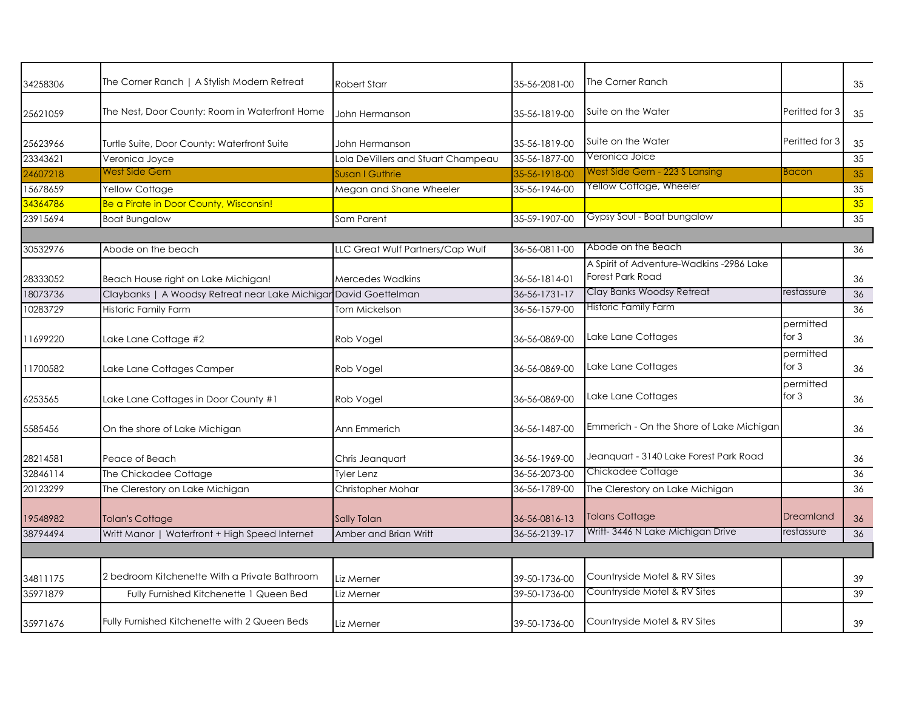| 34258306 | The Corner Ranch   A Stylish Modern Retreat                      | <b>Robert Starr</b>                | 35-56-2081-00 | The Corner Ranch                                                    |                      | 35 |
|----------|------------------------------------------------------------------|------------------------------------|---------------|---------------------------------------------------------------------|----------------------|----|
| 25621059 | The Nest, Door County: Room in Waterfront Home                   | John Hermanson                     | 35-56-1819-00 | Suite on the Water                                                  | Peritted for 3       | 35 |
| 25623966 | Turtle Suite, Door County: Waterfront Suite                      | John Hermanson                     | 35-56-1819-00 | Suite on the Water                                                  | Peritted for 3       | 35 |
| 23343621 | Veronica Joyce                                                   | Lola DeVillers and Stuart Champeau | 35-56-1877-00 | Veronica Joice                                                      |                      | 35 |
| 24607218 | West Side Gem                                                    | <b>Susan   Guthrie</b>             | 35-56-1918-00 | West Side Gem - 223 S Lansing                                       | <b>Bacon</b>         | 35 |
| 15678659 | Yellow Cottage                                                   | Megan and Shane Wheeler            | 35-56-1946-00 | Yellow Cottage, Wheeler                                             |                      | 35 |
| 34364786 | Be a Pirate in Door County, Wisconsin!                           |                                    |               |                                                                     |                      | 35 |
| 23915694 | <b>Boat Bungalow</b>                                             | Sam Parent                         | 35-59-1907-00 | Gypsy Soul - Boat bungalow                                          |                      | 35 |
|          |                                                                  |                                    |               |                                                                     |                      |    |
| 30532976 | Abode on the beach                                               | LLC Great Wulf Partners/Cap Wulf   | 36-56-0811-00 | Abode on the Beach                                                  |                      | 36 |
| 28333052 | Beach House right on Lake Michigan!                              | <b>Mercedes Wadkins</b>            | 36-56-1814-01 | A Spirit of Adventure-Wadkins -2986 Lake<br><b>Forest Park Road</b> |                      | 36 |
| 18073736 | Claybanks   A Woodsy Retreat near Lake Michigar David Goettelman |                                    | 36-56-1731-17 | Clay Banks Woodsy Retreat                                           | restassure           | 36 |
| 10283729 | <b>Historic Family Farm</b>                                      | <b>Tom Mickelson</b>               | 36-56-1579-00 | <b>Historic Family Farm</b>                                         |                      | 36 |
| 11699220 | Lake Lane Cottage #2                                             | Rob Vogel                          | 36-56-0869-00 | Lake Lane Cottages                                                  | permitted<br>for $3$ | 36 |
| 11700582 | Lake Lane Cottages Camper                                        | Rob Vogel                          | 36-56-0869-00 | Lake Lane Cottages                                                  | permitted<br>for $3$ | 36 |
| 6253565  | Lake Lane Cottages in Door County #1                             | Rob Vogel                          | 36-56-0869-00 | Lake Lane Cottages                                                  | permitted<br>for $3$ | 36 |
| 5585456  | On the shore of Lake Michigan                                    | Ann Emmerich                       | 36-56-1487-00 | Emmerich - On the Shore of Lake Michigan                            |                      | 36 |
| 28214581 | Peace of Beach                                                   | Chris Jeanquart                    | 36-56-1969-00 | Jeanguart - 3140 Lake Forest Park Road                              |                      | 36 |
| 32846114 | The Chickadee Cottage                                            | <b>Tyler Lenz</b>                  | 36-56-2073-00 | Chickadee Cottage                                                   |                      | 36 |
| 20123299 | The Clerestory on Lake Michigan                                  | Christopher Mohar                  | 36-56-1789-00 | The Clerestory on Lake Michigan                                     |                      | 36 |
| 19548982 | <b>Tolan's Cottage</b>                                           | <b>Sally Tolan</b>                 | 36-56-0816-13 | <b>Tolans Cottage</b>                                               | Dreamland            | 36 |
| 38794494 | Writt Manor   Waterfront + High Speed Internet                   | Amber and Brian Writt              | 36-56-2139-17 | Writt-3446 N Lake Michigan Drive                                    | restassure           | 36 |
|          |                                                                  |                                    |               |                                                                     |                      |    |
| 34811175 | 2 bedroom Kitchenette With a Private Bathroom                    | Liz Merner                         | 39-50-1736-00 | Countryside Motel & RV Sites                                        |                      | 39 |
| 35971879 | Fully Furnished Kitchenette 1 Queen Bed                          | Liz Merner                         | 39-50-1736-00 | Countryside Motel & RV Sites                                        |                      | 39 |
| 35971676 | Fully Furnished Kitchenette with 2 Queen Beds                    | Liz Merner                         | 39-50-1736-00 | Countryside Motel & RV Sites                                        |                      | 39 |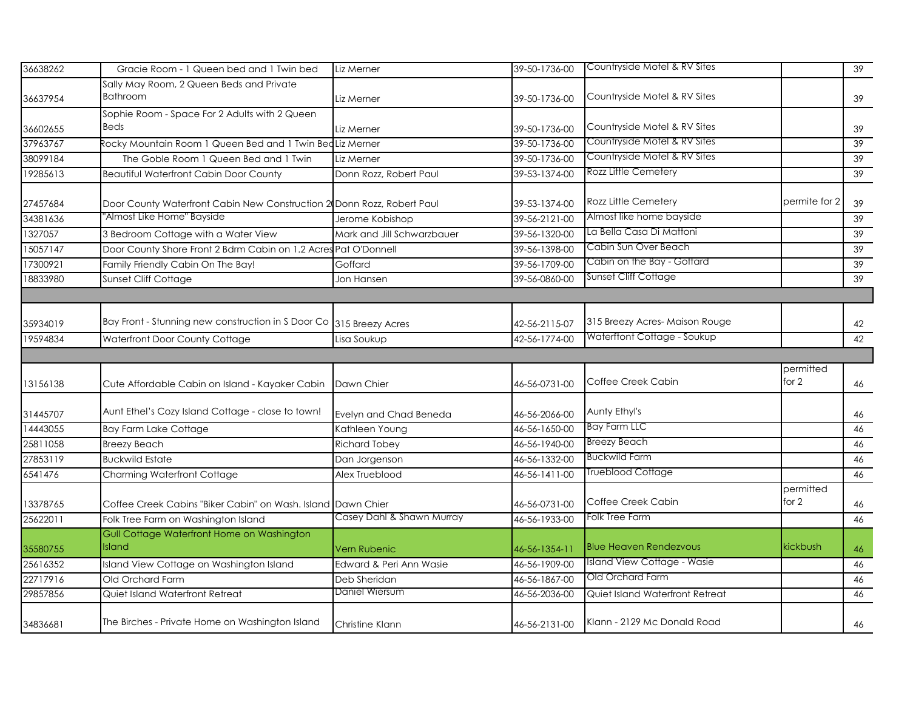| 36638262 | Gracie Room - 1 Queen bed and 1 Twin bed                               | Liz Merner                 | 39-50-1736-00 | Countryside Motel & RV Sites    |                    | 39       |
|----------|------------------------------------------------------------------------|----------------------------|---------------|---------------------------------|--------------------|----------|
|          | Sally May Room, 2 Queen Beds and Private                               |                            |               |                                 |                    |          |
| 36637954 | <b>Bathroom</b>                                                        | Liz Merner                 | 39-50-1736-00 | Countryside Motel & RV Sites    |                    | 39       |
|          | Sophie Room - Space For 2 Adults with 2 Queen                          |                            |               |                                 |                    |          |
| 36602655 | Beds                                                                   | Liz Merner                 | 39-50-1736-00 | Countryside Motel & RV Sites    |                    | 39       |
| 37963767 | Rocky Mountain Room 1 Queen Bed and 1 Twin Bed Liz Merner              |                            | 39-50-1736-00 | Countryside Motel & RV Sites    |                    | 39       |
| 38099184 | The Goble Room 1 Queen Bed and 1 Twin                                  | Liz Merner                 | 39-50-1736-00 | Countryside Motel & RV Sites    |                    | 39       |
| 19285613 | <b>Beautiful Waterfront Cabin Door County</b>                          | Donn Rozz, Robert Paul     | 39-53-1374-00 | Rozz Little Cemetery            |                    | 39       |
| 27457684 | Door County Waterfront Cabin New Construction 2 Donn Rozz, Robert Paul |                            | 39-53-1374-00 | Rozz Little Cemetery            | permite for 2      | 39       |
| 34381636 | 'Almost Like Home'' Bayside                                            | Jerome Kobishop            | 39-56-2121-00 | Almost like home bayside        |                    | 39       |
| 1327057  | 3 Bedroom Cottage with a Water View                                    | Mark and Jill Schwarzbauer | 39-56-1320-00 | La Bella Casa Di Mattoni        |                    | 39       |
| 15057147 | Door County Shore Front 2 Bdrm Cabin on 1.2 Acres Pat O'Donnell        |                            | 39-56-1398-00 | Cabin Sun Over Beach            |                    | 39       |
| 17300921 | Family Friendly Cabin On The Bay!                                      | Goffard                    | 39-56-1709-00 | Cabin on the Bay - Goffard      |                    | 39       |
| 18833980 | Sunset Cliff Cottage                                                   | Jon Hansen                 | 39-56-0860-00 | <b>Sunset Cliff Cottage</b>     |                    | 39       |
|          |                                                                        |                            |               |                                 |                    |          |
| 35934019 | Bay Front - Stunning new construction in S Door Co 315 Breezy Acres    |                            | 42-56-2115-07 | 315 Breezy Acres-Maison Rouge   |                    | 42       |
|          |                                                                        |                            |               | Waterftont Cottage - Soukup     |                    | 42       |
| 19594834 | Waterfront Door County Cottage                                         | Lisa Soukup                | 42-56-1774-00 |                                 |                    |          |
|          |                                                                        |                            |               |                                 |                    |          |
|          |                                                                        |                            |               |                                 | permitted          |          |
| 13156138 | Cute Affordable Cabin on Island - Kayaker Cabin                        | Dawn Chier                 | 46-56-0731-00 | Coffee Creek Cabin              | for 2              | 46       |
| 31445707 | Aunt Ethel's Cozy Island Cottage - close to town!                      | Evelyn and Chad Beneda     | 46-56-2066-00 | Aunty Ethyl's                   |                    | 46       |
| 14443055 | <b>Bay Farm Lake Cottage</b>                                           | Kathleen Young             | 46-56-1650-00 | Bay Farm LLC                    |                    | 46       |
| 25811058 | <b>Breezy Beach</b>                                                    | <b>Richard Tobey</b>       | 46-56-1940-00 | <b>Breezy Beach</b>             |                    | 46       |
| 27853119 | <b>Buckwild Estate</b>                                                 | Dan Jorgenson              | 46-56-1332-00 | <b>Buckwild Farm</b>            |                    | 46       |
| 6541476  | <b>Charming Waterfront Cottage</b>                                     | Alex Trueblood             | 46-56-1411-00 | <b>Trueblood Cottage</b>        |                    | 46       |
| 13378765 |                                                                        |                            | 46-56-0731-00 | Coffee Creek Cabin              | permitted<br>for 2 |          |
|          | Coffee Creek Cabins "Biker Cabin" on Wash. Island Dawn Chier           | Casey Dahl & Shawn Murray  |               | Folk Tree Farm                  |                    | 46<br>46 |
| 25622011 | Folk Tree Farm on Washington Island                                    |                            | 46-56-1933-00 |                                 |                    |          |
| 35580755 | Gull Cottage Waterfront Home on Washington<br>Island                   | Vern Rubenic               | 46-56-1354-11 | <b>Blue Heaven Rendezvous</b>   | kickbush           | 46       |
| 25616352 | Island View Cottage on Washington Island                               | Edward & Peri Ann Wasie    | 46-56-1909-00 | Island View Cottage - Wasie     |                    | 46       |
| 22717916 | Old Orchard Farm                                                       | Deb Sheridan               | 46-56-1867-00 | Old Orchard Farm                |                    | 46       |
| 29857856 | Quiet Island Waterfront Retreat                                        | Daniel Wiersum             | 46-56-2036-00 | Quiet Island Waterfront Retreat |                    | 46       |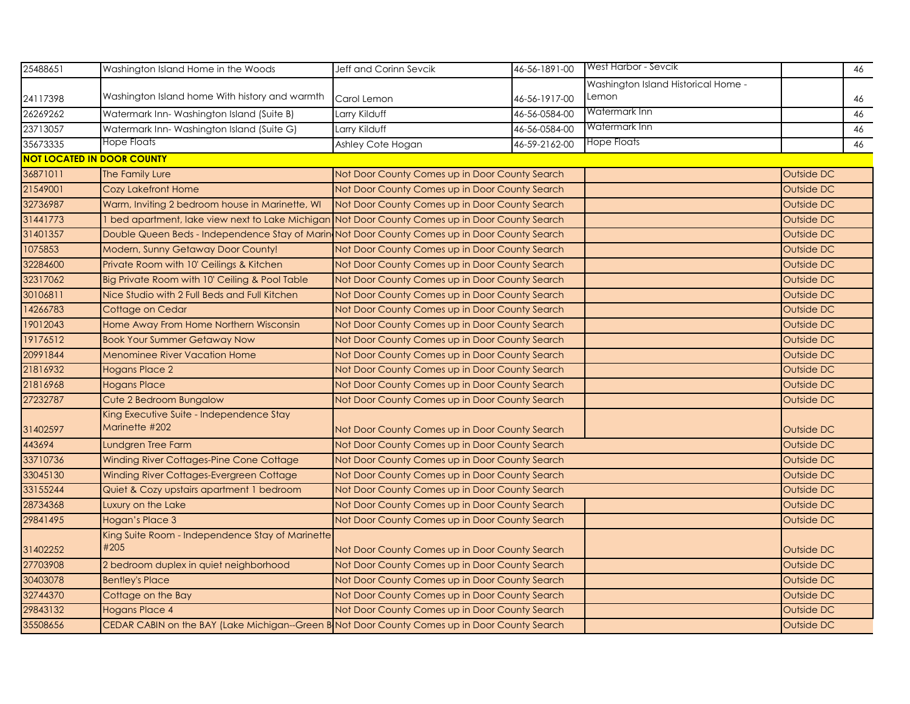| 25488651 | Washington Island Home in the Woods                                                             | Jeff and Corinn Sevcik                         | 46-56-1891-00 | <b>West Harbor - Sevcik</b>         |            | 46 |
|----------|-------------------------------------------------------------------------------------------------|------------------------------------------------|---------------|-------------------------------------|------------|----|
|          |                                                                                                 |                                                |               | Washington Island Historical Home - |            |    |
| 24117398 | Washington Island home With history and warmth                                                  | Carol Lemon                                    | 46-56-1917-00 | Lemon                               |            | 46 |
| 26269262 | Watermark Inn-Washington Island (Suite B)                                                       | Larry Kilduff                                  | 46-56-0584-00 | Watermark Inn                       |            | 46 |
| 23713057 | Watermark Inn-Washington Island (Suite G)                                                       | Larry Kilduff                                  | 46-56-0584-00 | Watermark Inn                       |            | 46 |
| 35673335 | Hope Floats                                                                                     | Ashley Cote Hogan                              | 46-59-2162-00 | <b>Hope Floats</b>                  |            | 46 |
|          | <b>NOT LOCATED IN DOOR COUNTY</b>                                                               |                                                |               |                                     |            |    |
| 36871011 | The Family Lure                                                                                 | Not Door County Comes up in Door County Search |               |                                     | Outside DC |    |
| 21549001 | <b>Cozy Lakefront Home</b>                                                                      | Not Door County Comes up in Door County Search |               |                                     | Outside DC |    |
| 32736987 | Warm, Inviting 2 bedroom house in Marinette, WI                                                 | Not Door County Comes up in Door County Search |               |                                     | Outside DC |    |
| 31441773 | 1 bed apartment, lake view next to Lake Michigan Not Door County Comes up in Door County Search |                                                |               |                                     | Outside DC |    |
| 31401357 | Double Queen Beds - Independence Stay of Marin Not Door County Comes up in Door County Search   |                                                |               |                                     | Outside DC |    |
| 1075853  | Modern, Sunny Getaway Door County!                                                              | Not Door County Comes up in Door County Search |               |                                     | Outside DC |    |
| 32284600 | Private Room with 10' Ceilings & Kitchen                                                        | Not Door County Comes up in Door County Search |               |                                     | Outside DC |    |
| 32317062 | Big Private Room with 10' Ceiling & Pool Table                                                  | Not Door County Comes up in Door County Search |               |                                     | Outside DC |    |
| 30106811 | Nice Studio with 2 Full Beds and Full Kitchen                                                   | Not Door County Comes up in Door County Search |               |                                     | Outside DC |    |
| 14266783 | Cottage on Cedar                                                                                | Not Door County Comes up in Door County Search |               |                                     | Outside DC |    |
| 19012043 | Home Away From Home Northern Wisconsin                                                          | Not Door County Comes up in Door County Search |               |                                     | Outside DC |    |
| 19176512 | <b>Book Your Summer Getaway Now</b>                                                             | Not Door County Comes up in Door County Search |               |                                     | Outside DC |    |
| 20991844 | <b>Menominee River Vacation Home</b>                                                            | Not Door County Comes up in Door County Search |               |                                     | Outside DC |    |
| 21816932 | <b>Hogans Place 2</b>                                                                           | Not Door County Comes up in Door County Search |               |                                     | Outside DC |    |
| 21816968 | <b>Hogans Place</b>                                                                             | Not Door County Comes up in Door County Search |               |                                     | Outside DC |    |
| 27232787 | Cute 2 Bedroom Bungalow                                                                         | Not Door County Comes up in Door County Search |               |                                     | Outside DC |    |
| 31402597 | King Executive Suite - Independence Stay<br>Marinette #202                                      | Not Door County Comes up in Door County Search |               |                                     | Outside DC |    |
| 443694   | Lundgren Tree Farm                                                                              | Not Door County Comes up in Door County Search |               |                                     | Outside DC |    |
| 33710736 | Winding River Cottages-Pine Cone Cottage                                                        | Not Door County Comes up in Door County Search |               |                                     | Outside DC |    |
| 33045130 | Winding River Cottages-Evergreen Cottage                                                        | Not Door County Comes up in Door County Search |               |                                     | Outside DC |    |
| 33155244 | Quiet & Cozy upstairs apartment 1 bedroom                                                       | Not Door County Comes up in Door County Search |               |                                     | Outside DC |    |
| 28734368 | Luxury on the Lake                                                                              | Not Door County Comes up in Door County Search |               |                                     | Outside DC |    |
| 29841495 | Hogan's Place 3                                                                                 | Not Door County Comes up in Door County Search |               |                                     | Outside DC |    |
| 31402252 | King Suite Room - Independence Stay of Marinette<br>#205                                        | Not Door County Comes up in Door County Search |               |                                     | Outside DC |    |
| 27703908 | 2 bedroom duplex in quiet neighborhood                                                          | Not Door County Comes up in Door County Search |               |                                     | Outside DC |    |
| 30403078 | <b>Bentley's Place</b>                                                                          | Not Door County Comes up in Door County Search |               |                                     | Outside DC |    |
| 32744370 | Cottage on the Bay                                                                              | Not Door County Comes up in Door County Search |               |                                     | Outside DC |    |
| 29843132 | <b>Hogans Place 4</b>                                                                           | Not Door County Comes up in Door County Search |               |                                     | Outside DC |    |
| 35508656 | CEDAR CABIN on the BAY (Lake Michigan--Green B Not Door County Comes up in Door County Search   |                                                |               |                                     | Outside DC |    |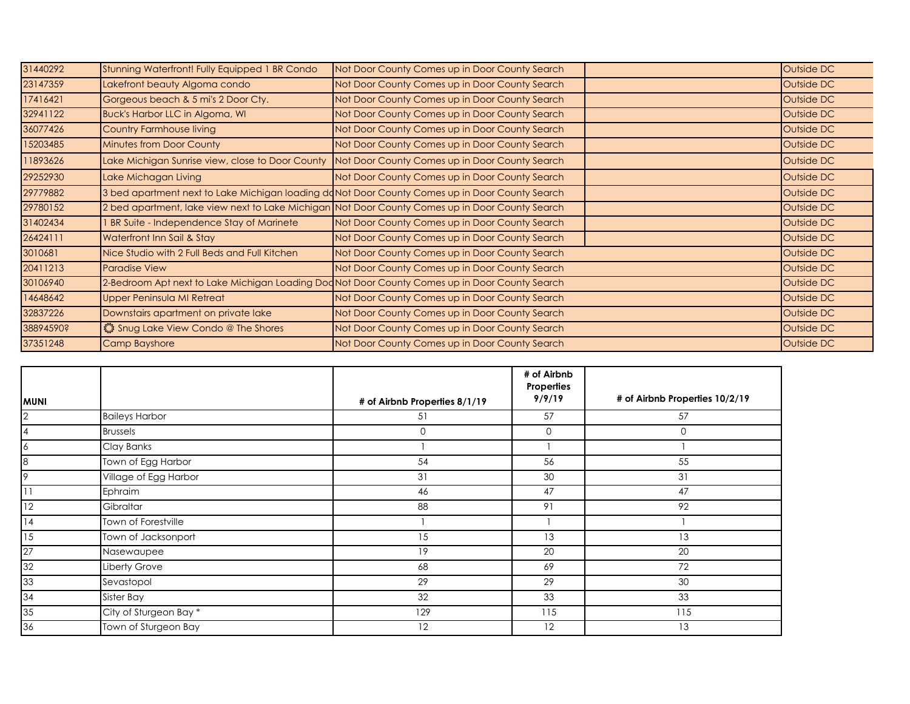| 31440292  | Stunning Waterfront! Fully Equipped 1 BR Condo   | Not Door County Comes up in Door County Search                                                  | Outside DC |
|-----------|--------------------------------------------------|-------------------------------------------------------------------------------------------------|------------|
| 23147359  | Lakefront beauty Algoma condo                    | Not Door County Comes up in Door County Search                                                  | Outside DC |
| 17416421  | Gorgeous beach & 5 mi's 2 Door Cty.              | Not Door County Comes up in Door County Search                                                  | Outside DC |
| 32941122  | <b>Buck's Harbor LLC in Algoma, WI</b>           | Not Door County Comes up in Door County Search                                                  | Outside DC |
| 36077426  | <b>Country Farmhouse living</b>                  | Not Door County Comes up in Door County Search                                                  | Outside DC |
| 15203485  | <b>Minutes from Door County</b>                  | Not Door County Comes up in Door County Search                                                  | Outside DC |
| 11893626  | Lake Michigan Sunrise view, close to Door County | Not Door County Comes up in Door County Search                                                  | Outside DC |
| 29252930  | Lake Michagan Living                             | Not Door County Comes up in Door County Search                                                  | Outside DC |
| 29779882  |                                                  | 3 bed apartment next to Lake Michigan loading doNot Door County Comes up in Door County Search  | Outside DC |
| 29780152  |                                                  | 2 bed apartment, lake view next to Lake Michigan Not Door County Comes up in Door County Search | Outside DC |
| 31402434  | <b>BR Suite - Independence Stay of Marinete</b>  | Not Door County Comes up in Door County Search                                                  | Outside DC |
| 26424111  | Waterfront Inn Sail & Stay                       | Not Door County Comes up in Door County Search                                                  | Outside DC |
| 3010681   | Nice Studio with 2 Full Beds and Full Kitchen    | Not Door County Comes up in Door County Search                                                  | Outside DC |
| 20411213  | <b>Paradise View</b>                             | Not Door County Comes up in Door County Search                                                  | Outside DC |
| 30106940  |                                                  | 2-Bedroom Apt next to Lake Michigan Loading Dod Not Door County Comes up in Door County Search  | Outside DC |
| 14648642  | <b>Upper Peninsula MI Retreat</b>                | Not Door County Comes up in Door County Search                                                  | Outside DC |
| 32837226  | Downstairs apartment on private lake             | Not Door County Comes up in Door County Search                                                  | Outside DC |
| 38894590? | Shug Lake View Condo @ The Shores                | Not Door County Comes up in Door County Search                                                  | Outside DC |
| 37351248  | <b>Camp Bayshore</b>                             | Not Door County Comes up in Door County Search                                                  | Outside DC |

| <b>MUNI</b>    |                        | # of Airbnb Properties 8/1/19 | # of Airbnb<br>Properties<br>9/9/19 | # of Airbnb Properties 10/2/19 |
|----------------|------------------------|-------------------------------|-------------------------------------|--------------------------------|
| $\overline{2}$ | <b>Baileys Harbor</b>  | 51                            | 57                                  | 57                             |
| $\overline{4}$ | <b>Brussels</b>        | $\mathbf{O}$                  | 0                                   | 0                              |
| 16             | Clay Banks             |                               |                                     |                                |
| 8              | Town of Egg Harbor     | 54                            | 56                                  | 55                             |
| 9              | Village of Egg Harbor  | 31                            | 30                                  | 31                             |
| 11             | Ephraim                | 46                            | 47                                  | 47                             |
| 12             | Gibraltar              | 88                            | 91                                  | 92                             |
| 14             | Town of Forestville    |                               |                                     |                                |
| 15             | Town of Jacksonport    | 15                            | 13                                  | 13                             |
| 27             | Nasewaupee             | 19                            | 20                                  | 20                             |
| 32             | Liberty Grove          | 68                            | 69                                  | 72                             |
| 33             | Sevastopol             | 29                            | 29                                  | 30                             |
| 34             | Sister Bay             | 32                            | 33                                  | 33                             |
| 35             | City of Sturgeon Bay * | 129                           | 115                                 | 115                            |
| 36             | Town of Sturgeon Bay   | 12                            | 12                                  | 13                             |